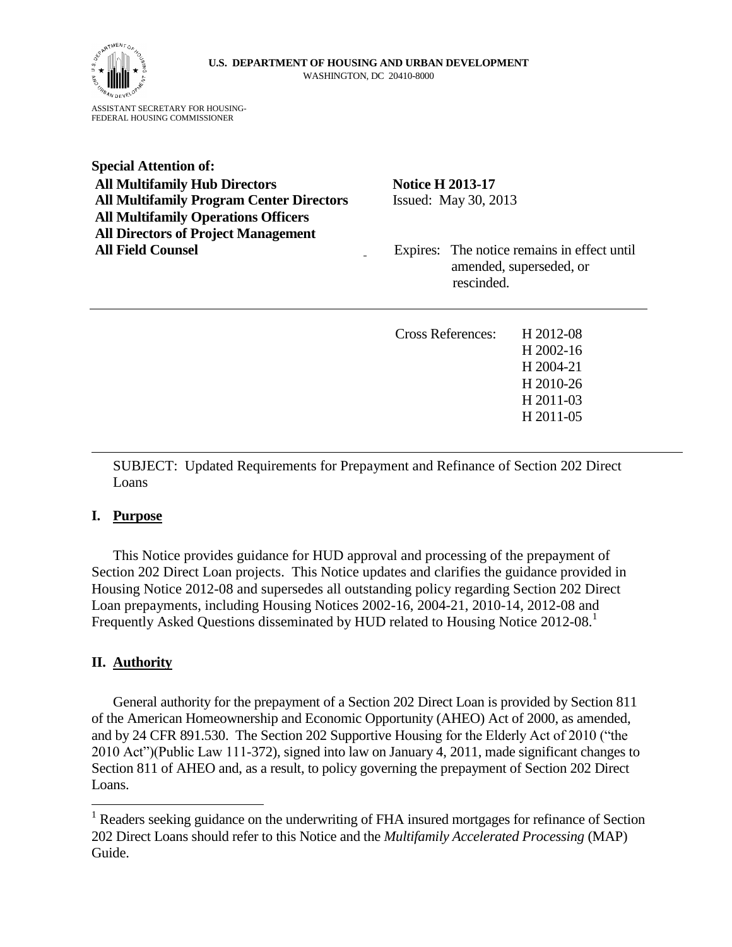

ASSISTANT SECRETARY FOR HOUSING-FEDERAL HOUSING COMMISSIONER

**Special Attention of:** All Multifamily Hub Directors Notice **H** 2013-17 **All Multifamily Program Center Directors** Issued: May 30, 2013 **All Multifamily Operations Officers All Directors of Project Management**  All Field Counsel **All Field Counsel Expires:** The notice remains in effect until

 amended, superseded, or rescinded.

| Cross References: | H 2012-08   |
|-------------------|-------------|
|                   | $H$ 2002-16 |
|                   | H 2004-21   |
|                   | H 2010-26   |
|                   | H 2011-03   |
|                   | H 2011-05   |

SUBJECT: Updated Requirements for Prepayment and Refinance of Section 202 Direct Loans

# **I. Purpose**

This Notice provides guidance for HUD approval and processing of the prepayment of Section 202 Direct Loan projects. This Notice updates and clarifies the guidance provided in Housing Notice 2012-08 and supersedes all outstanding policy regarding Section 202 Direct Loan prepayments, including Housing Notices 2002-16, 2004-21, 2010-14, 2012-08 and Frequently Asked Questions disseminated by HUD related to Housing Notice 2012-08. 1

# **II. Authority**

 $\overline{a}$ 

General authority for the prepayment of a Section 202 Direct Loan is provided by Section 811 of the American Homeownership and Economic Opportunity (AHEO) Act of 2000, as amended, and by 24 CFR 891.530. The Section 202 Supportive Housing for the Elderly Act of 2010 ("the 2010 Act")(Public Law 111-372), signed into law on January 4, 2011, made significant changes to Section 811 of AHEO and, as a result, to policy governing the prepayment of Section 202 Direct Loans.

<sup>&</sup>lt;sup>1</sup> Readers seeking guidance on the underwriting of FHA insured mortgages for refinance of Section 202 Direct Loans should refer to this Notice and the *Multifamily Accelerated Processing* (MAP) Guide.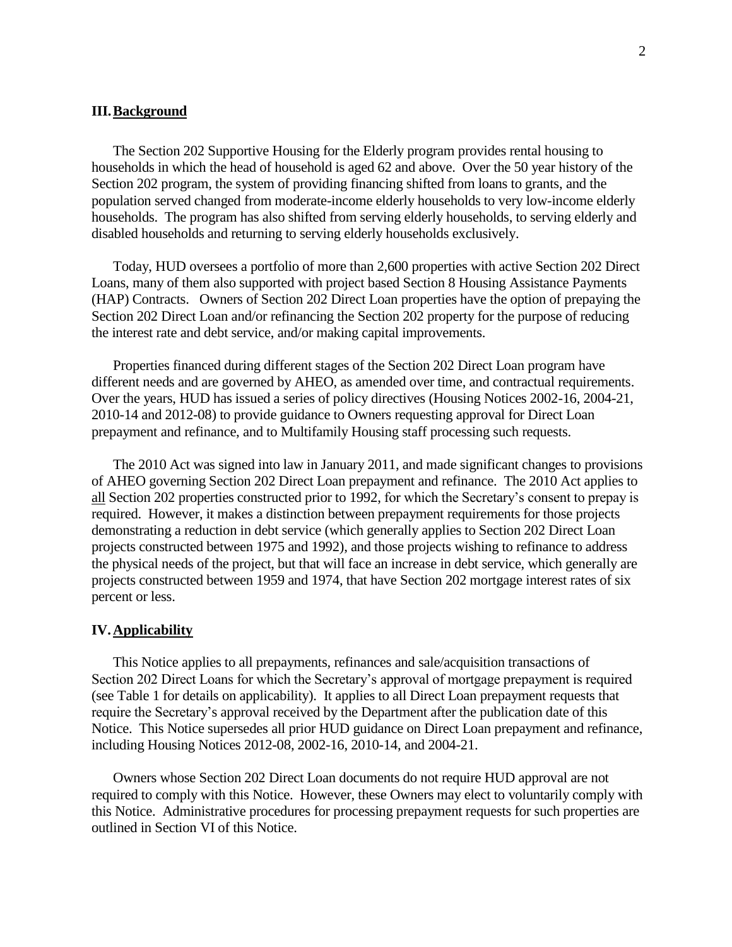#### **III.Background**

The Section 202 Supportive Housing for the Elderly program provides rental housing to households in which the head of household is aged 62 and above. Over the 50 year history of the Section 202 program, the system of providing financing shifted from loans to grants, and the population served changed from moderate-income elderly households to very low-income elderly households. The program has also shifted from serving elderly households, to serving elderly and disabled households and returning to serving elderly households exclusively.

Today, HUD oversees a portfolio of more than 2,600 properties with active Section 202 Direct Loans, many of them also supported with project based Section 8 Housing Assistance Payments (HAP) Contracts. Owners of Section 202 Direct Loan properties have the option of prepaying the Section 202 Direct Loan and/or refinancing the Section 202 property for the purpose of reducing the interest rate and debt service, and/or making capital improvements.

Properties financed during different stages of the Section 202 Direct Loan program have different needs and are governed by AHEO, as amended over time, and contractual requirements. Over the years, HUD has issued a series of policy directives (Housing Notices 2002-16, 2004-21, 2010-14 and 2012-08) to provide guidance to Owners requesting approval for Direct Loan prepayment and refinance, and to Multifamily Housing staff processing such requests.

The 2010 Act was signed into law in January 2011, and made significant changes to provisions of AHEO governing Section 202 Direct Loan prepayment and refinance. The 2010 Act applies to all Section 202 properties constructed prior to 1992, for which the Secretary's consent to prepay is required. However, it makes a distinction between prepayment requirements for those projects demonstrating a reduction in debt service (which generally applies to Section 202 Direct Loan projects constructed between 1975 and 1992), and those projects wishing to refinance to address the physical needs of the project, but that will face an increase in debt service, which generally are projects constructed between 1959 and 1974, that have Section 202 mortgage interest rates of six percent or less.

#### **IV.Applicability**

This Notice applies to all prepayments, refinances and sale/acquisition transactions of Section 202 Direct Loans for which the Secretary's approval of mortgage prepayment is required (see Table 1 for details on applicability). It applies to all Direct Loan prepayment requests that require the Secretary's approval received by the Department after the publication date of this Notice. This Notice supersedes all prior HUD guidance on Direct Loan prepayment and refinance, including Housing Notices 2012-08, 2002-16, 2010-14, and 2004-21.

Owners whose Section 202 Direct Loan documents do not require HUD approval are not required to comply with this Notice. However, these Owners may elect to voluntarily comply with this Notice. Administrative procedures for processing prepayment requests for such properties are outlined in Section VI of this Notice.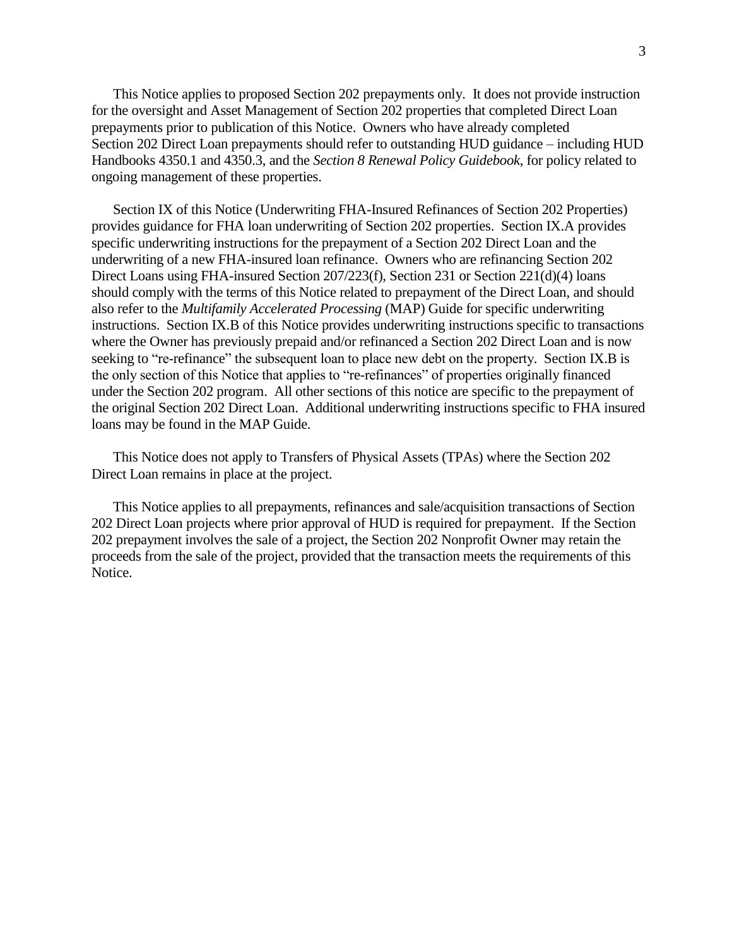This Notice applies to proposed Section 202 prepayments only. It does not provide instruction for the oversight and Asset Management of Section 202 properties that completed Direct Loan prepayments prior to publication of this Notice. Owners who have already completed Section 202 Direct Loan prepayments should refer to outstanding HUD guidance – including HUD Handbooks 4350.1 and 4350.3, and the *Section 8 Renewal Policy Guidebook*, for policy related to ongoing management of these properties.

Section IX of this Notice (Underwriting FHA-Insured Refinances of Section 202 Properties) provides guidance for FHA loan underwriting of Section 202 properties. Section IX.A provides specific underwriting instructions for the prepayment of a Section 202 Direct Loan and the underwriting of a new FHA-insured loan refinance. Owners who are refinancing Section 202 Direct Loans using FHA-insured Section 207/223(f), Section 231 or Section 221(d)(4) loans should comply with the terms of this Notice related to prepayment of the Direct Loan, and should also refer to the *Multifamily Accelerated Processing* (MAP) Guide for specific underwriting instructions. Section IX.B of this Notice provides underwriting instructions specific to transactions where the Owner has previously prepaid and/or refinanced a Section 202 Direct Loan and is now seeking to "re-refinance" the subsequent loan to place new debt on the property. Section IX.B is the only section of this Notice that applies to "re-refinances" of properties originally financed under the Section 202 program. All other sections of this notice are specific to the prepayment of the original Section 202 Direct Loan. Additional underwriting instructions specific to FHA insured loans may be found in the MAP Guide.

This Notice does not apply to Transfers of Physical Assets (TPAs) where the Section 202 Direct Loan remains in place at the project.

This Notice applies to all prepayments, refinances and sale/acquisition transactions of Section 202 Direct Loan projects where prior approval of HUD is required for prepayment. If the Section 202 prepayment involves the sale of a project, the Section 202 Nonprofit Owner may retain the proceeds from the sale of the project, provided that the transaction meets the requirements of this Notice.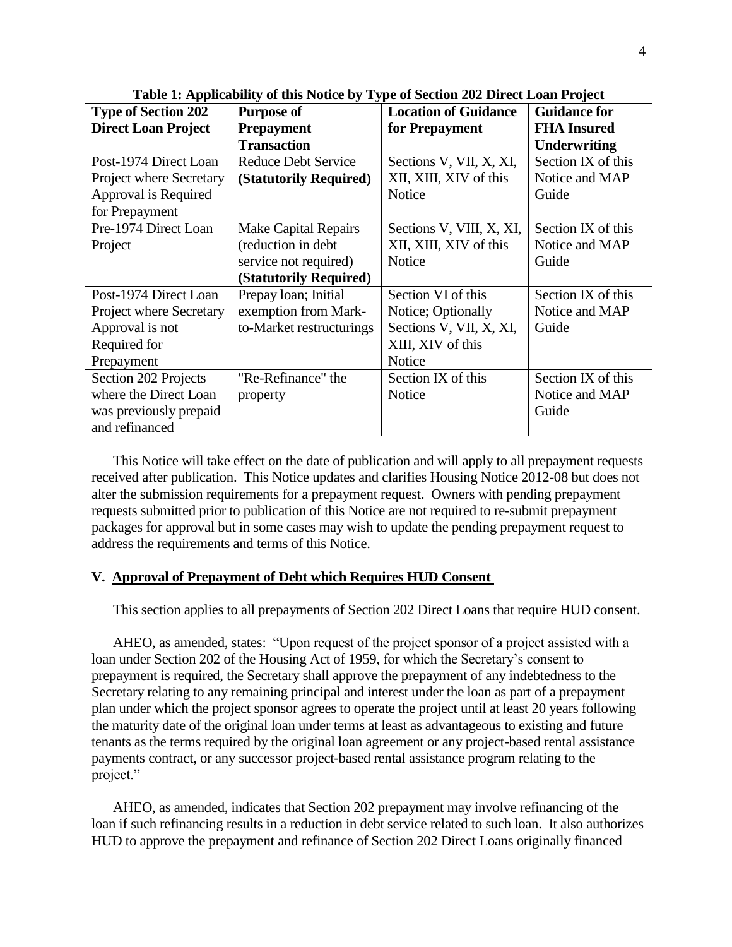| Table 1: Applicability of this Notice by Type of Section 202 Direct Loan Project |                             |                             |                     |
|----------------------------------------------------------------------------------|-----------------------------|-----------------------------|---------------------|
| <b>Type of Section 202</b>                                                       | <b>Purpose of</b>           | <b>Location of Guidance</b> | <b>Guidance for</b> |
| <b>Direct Loan Project</b>                                                       | <b>Prepayment</b>           | for Prepayment              | <b>FHA</b> Insured  |
|                                                                                  | <b>Transaction</b>          |                             | <b>Underwriting</b> |
| Post-1974 Direct Loan                                                            | <b>Reduce Debt Service</b>  | Sections V, VII, X, XI,     | Section IX of this  |
| Project where Secretary                                                          | (Statutorily Required)      | XII, XIII, XIV of this      | Notice and MAP      |
| Approval is Required                                                             |                             | <b>Notice</b>               | Guide               |
| for Prepayment                                                                   |                             |                             |                     |
| Pre-1974 Direct Loan                                                             | <b>Make Capital Repairs</b> | Sections V, VIII, X, XI,    | Section IX of this  |
| Project                                                                          | (reduction in debt          | XII, XIII, XIV of this      | Notice and MAP      |
|                                                                                  | service not required)       | Notice                      | Guide               |
|                                                                                  | (Statutorily Required)      |                             |                     |
| Post-1974 Direct Loan                                                            | Prepay loan; Initial        | Section VI of this          | Section IX of this  |
| Project where Secretary                                                          | exemption from Mark-        | Notice; Optionally          | Notice and MAP      |
| Approval is not                                                                  | to-Market restructurings    | Sections V, VII, X, XI,     | Guide               |
| Required for                                                                     |                             | XIII, XIV of this           |                     |
| Prepayment                                                                       |                             | Notice                      |                     |
| Section 202 Projects                                                             | "Re-Refinance" the          | Section IX of this          | Section IX of this  |
| where the Direct Loan                                                            | property                    | <b>Notice</b>               | Notice and MAP      |
| was previously prepaid                                                           |                             |                             | Guide               |
| and refinanced                                                                   |                             |                             |                     |

This Notice will take effect on the date of publication and will apply to all prepayment requests received after publication. This Notice updates and clarifies Housing Notice 2012-08 but does not alter the submission requirements for a prepayment request. Owners with pending prepayment requests submitted prior to publication of this Notice are not required to re-submit prepayment packages for approval but in some cases may wish to update the pending prepayment request to address the requirements and terms of this Notice.

## **V. Approval of Prepayment of Debt which Requires HUD Consent**

This section applies to all prepayments of Section 202 Direct Loans that require HUD consent.

AHEO, as amended, states: "Upon request of the project sponsor of a project assisted with a loan under Section 202 of the Housing Act of 1959, for which the Secretary's consent to prepayment is required, the Secretary shall approve the prepayment of any indebtedness to the Secretary relating to any remaining principal and interest under the loan as part of a prepayment plan under which the project sponsor agrees to operate the project until at least 20 years following the maturity date of the original loan under terms at least as advantageous to existing and future tenants as the terms required by the original loan agreement or any project-based rental assistance payments contract, or any successor project-based rental assistance program relating to the project."

AHEO, as amended, indicates that Section 202 prepayment may involve refinancing of the loan if such refinancing results in a reduction in debt service related to such loan. It also authorizes HUD to approve the prepayment and refinance of Section 202 Direct Loans originally financed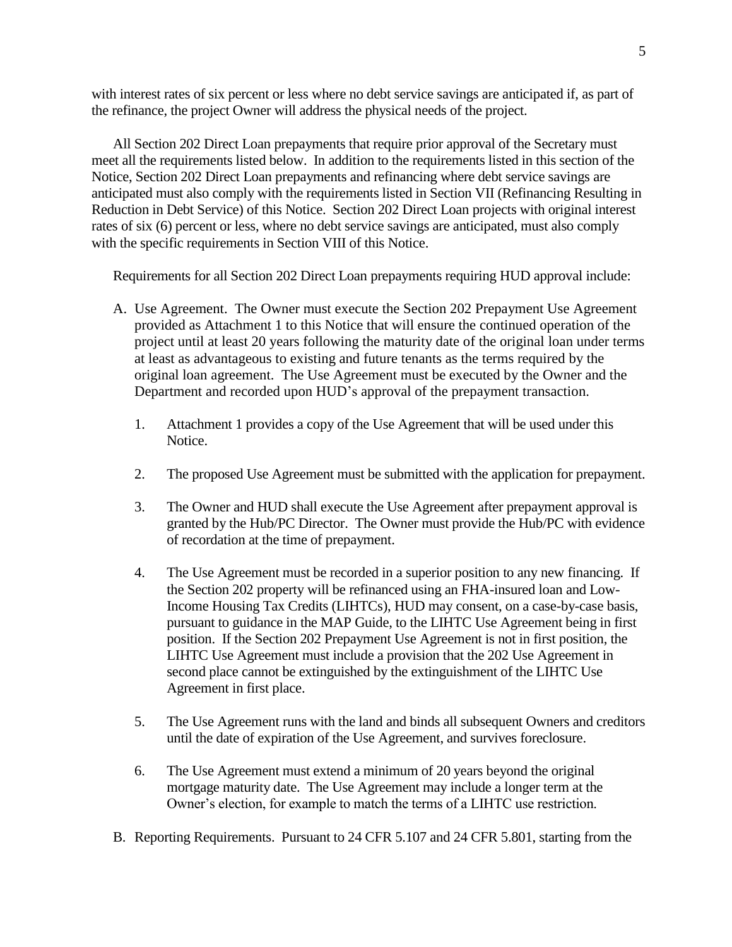with interest rates of six percent or less where no debt service savings are anticipated if, as part of the refinance, the project Owner will address the physical needs of the project.

All Section 202 Direct Loan prepayments that require prior approval of the Secretary must meet all the requirements listed below. In addition to the requirements listed in this section of the Notice, Section 202 Direct Loan prepayments and refinancing where debt service savings are anticipated must also comply with the requirements listed in Section VII (Refinancing Resulting in Reduction in Debt Service) of this Notice. Section 202 Direct Loan projects with original interest rates of six (6) percent or less, where no debt service savings are anticipated, must also comply with the specific requirements in Section VIII of this Notice.

Requirements for all Section 202 Direct Loan prepayments requiring HUD approval include:

- A. Use Agreement. The Owner must execute the Section 202 Prepayment Use Agreement provided as Attachment 1 to this Notice that will ensure the continued operation of the project until at least 20 years following the maturity date of the original loan under terms at least as advantageous to existing and future tenants as the terms required by the original loan agreement. The Use Agreement must be executed by the Owner and the Department and recorded upon HUD's approval of the prepayment transaction.
	- 1. Attachment 1 provides a copy of the Use Agreement that will be used under this Notice.
	- 2. The proposed Use Agreement must be submitted with the application for prepayment.
	- 3. The Owner and HUD shall execute the Use Agreement after prepayment approval is granted by the Hub/PC Director. The Owner must provide the Hub/PC with evidence of recordation at the time of prepayment.
	- 4. The Use Agreement must be recorded in a superior position to any new financing. If the Section 202 property will be refinanced using an FHA-insured loan and Low-Income Housing Tax Credits (LIHTCs), HUD may consent, on a case-by-case basis, pursuant to guidance in the MAP Guide, to the LIHTC Use Agreement being in first position. If the Section 202 Prepayment Use Agreement is not in first position, the LIHTC Use Agreement must include a provision that the 202 Use Agreement in second place cannot be extinguished by the extinguishment of the LIHTC Use Agreement in first place.
	- 5. The Use Agreement runs with the land and binds all subsequent Owners and creditors until the date of expiration of the Use Agreement, and survives foreclosure.
	- 6. The Use Agreement must extend a minimum of 20 years beyond the original mortgage maturity date. The Use Agreement may include a longer term at the Owner's election, for example to match the terms of a LIHTC use restriction.
- B. Reporting Requirements. Pursuant to 24 CFR 5.107 and 24 CFR 5.801, starting from the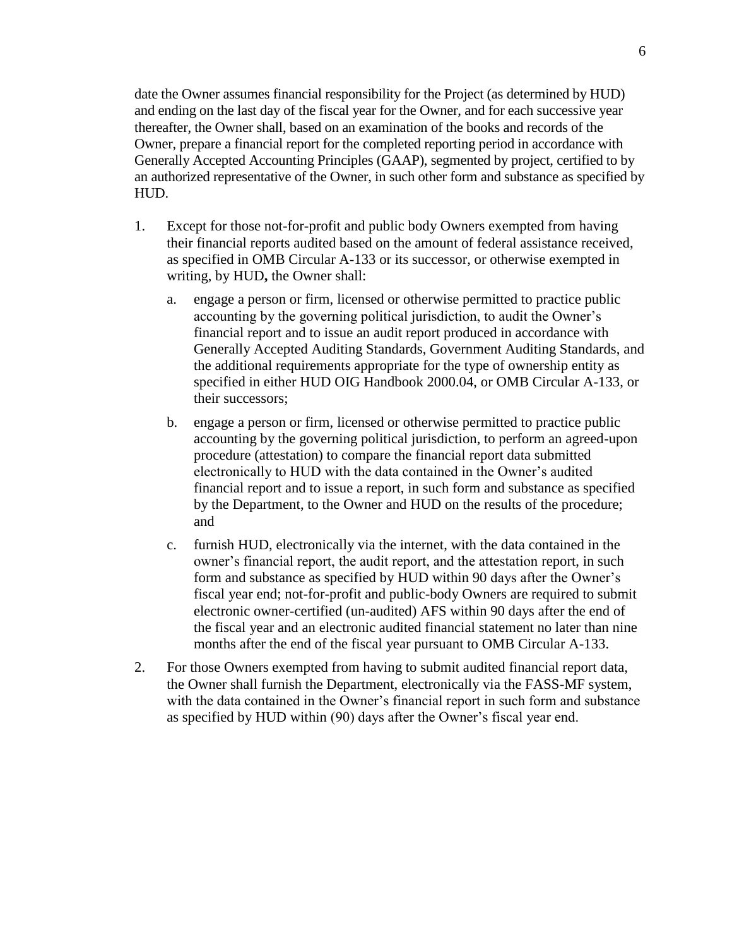date the Owner assumes financial responsibility for the Project (as determined by HUD) and ending on the last day of the fiscal year for the Owner, and for each successive year thereafter, the Owner shall, based on an examination of the books and records of the Owner, prepare a financial report for the completed reporting period in accordance with Generally Accepted Accounting Principles (GAAP), segmented by project, certified to by an authorized representative of the Owner, in such other form and substance as specified by HUD.

- 1. Except for those not-for-profit and public body Owners exempted from having their financial reports audited based on the amount of federal assistance received, as specified in OMB Circular A-133 or its successor, or otherwise exempted in writing, by HUD**,** the Owner shall:
	- a. engage a person or firm, licensed or otherwise permitted to practice public accounting by the governing political jurisdiction, to audit the Owner's financial report and to issue an audit report produced in accordance with Generally Accepted Auditing Standards, Government Auditing Standards, and the additional requirements appropriate for the type of ownership entity as specified in either HUD OIG Handbook 2000.04, or OMB Circular A-133, or their successors;
	- b. engage a person or firm, licensed or otherwise permitted to practice public accounting by the governing political jurisdiction, to perform an agreed-upon procedure (attestation) to compare the financial report data submitted electronically to HUD with the data contained in the Owner's audited financial report and to issue a report, in such form and substance as specified by the Department, to the Owner and HUD on the results of the procedure; and
	- c. furnish HUD, electronically via the internet, with the data contained in the owner's financial report, the audit report, and the attestation report, in such form and substance as specified by HUD within 90 days after the Owner's fiscal year end; not-for-profit and public-body Owners are required to submit electronic owner-certified (un-audited) AFS within 90 days after the end of the fiscal year and an electronic audited financial statement no later than nine months after the end of the fiscal year pursuant to OMB Circular A-133.
- 2. For those Owners exempted from having to submit audited financial report data, the Owner shall furnish the Department, electronically via the FASS-MF system, with the data contained in the Owner's financial report in such form and substance as specified by HUD within (90) days after the Owner's fiscal year end.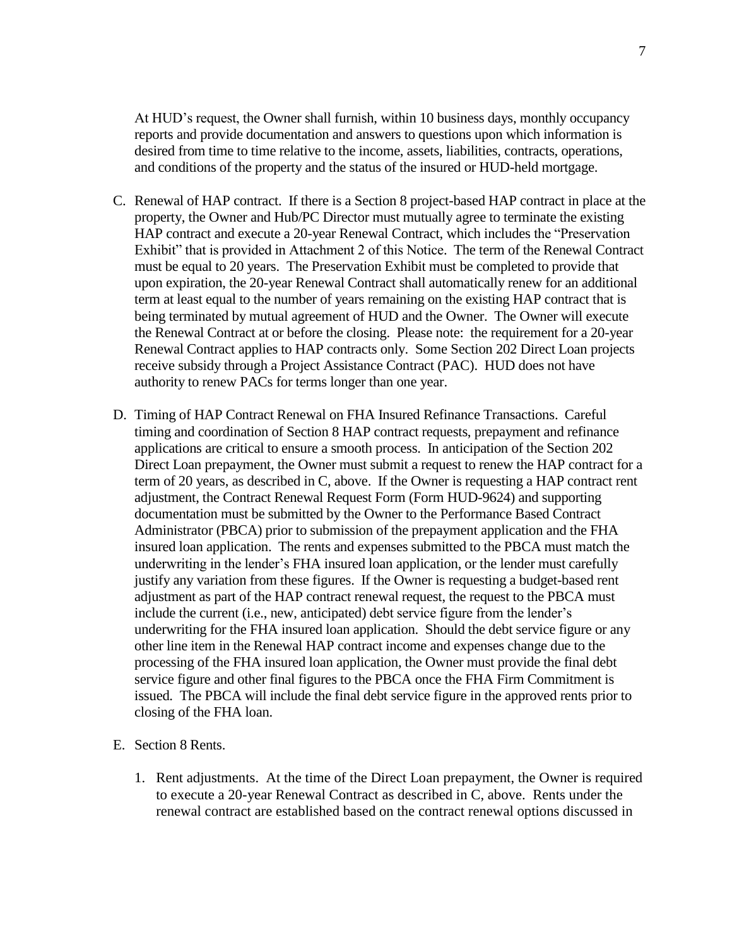At HUD's request, the Owner shall furnish, within 10 business days, monthly occupancy reports and provide documentation and answers to questions upon which information is desired from time to time relative to the income, assets, liabilities, contracts, operations, and conditions of the property and the status of the insured or HUD-held mortgage.

- C. Renewal of HAP contract. If there is a Section 8 project-based HAP contract in place at the property, the Owner and Hub/PC Director must mutually agree to terminate the existing HAP contract and execute a 20-year Renewal Contract, which includes the "Preservation Exhibit" that is provided in Attachment 2 of this Notice. The term of the Renewal Contract must be equal to 20 years. The Preservation Exhibit must be completed to provide that upon expiration, the 20-year Renewal Contract shall automatically renew for an additional term at least equal to the number of years remaining on the existing HAP contract that is being terminated by mutual agreement of HUD and the Owner. The Owner will execute the Renewal Contract at or before the closing. Please note: the requirement for a 20-year Renewal Contract applies to HAP contracts only. Some Section 202 Direct Loan projects receive subsidy through a Project Assistance Contract (PAC). HUD does not have authority to renew PACs for terms longer than one year.
- D. Timing of HAP Contract Renewal on FHA Insured Refinance Transactions. Careful timing and coordination of Section 8 HAP contract requests, prepayment and refinance applications are critical to ensure a smooth process. In anticipation of the Section 202 Direct Loan prepayment, the Owner must submit a request to renew the HAP contract for a term of 20 years, as described in C, above. If the Owner is requesting a HAP contract rent adjustment, the Contract Renewal Request Form (Form HUD-9624) and supporting documentation must be submitted by the Owner to the Performance Based Contract Administrator (PBCA) prior to submission of the prepayment application and the FHA insured loan application. The rents and expenses submitted to the PBCA must match the underwriting in the lender's FHA insured loan application, or the lender must carefully justify any variation from these figures. If the Owner is requesting a budget-based rent adjustment as part of the HAP contract renewal request, the request to the PBCA must include the current (i.e., new, anticipated) debt service figure from the lender's underwriting for the FHA insured loan application. Should the debt service figure or any other line item in the Renewal HAP contract income and expenses change due to the processing of the FHA insured loan application, the Owner must provide the final debt service figure and other final figures to the PBCA once the FHA Firm Commitment is issued. The PBCA will include the final debt service figure in the approved rents prior to closing of the FHA loan.
- E. Section 8 Rents.
	- 1. Rent adjustments. At the time of the Direct Loan prepayment, the Owner is required to execute a 20-year Renewal Contract as described in C, above. Rents under the renewal contract are established based on the contract renewal options discussed in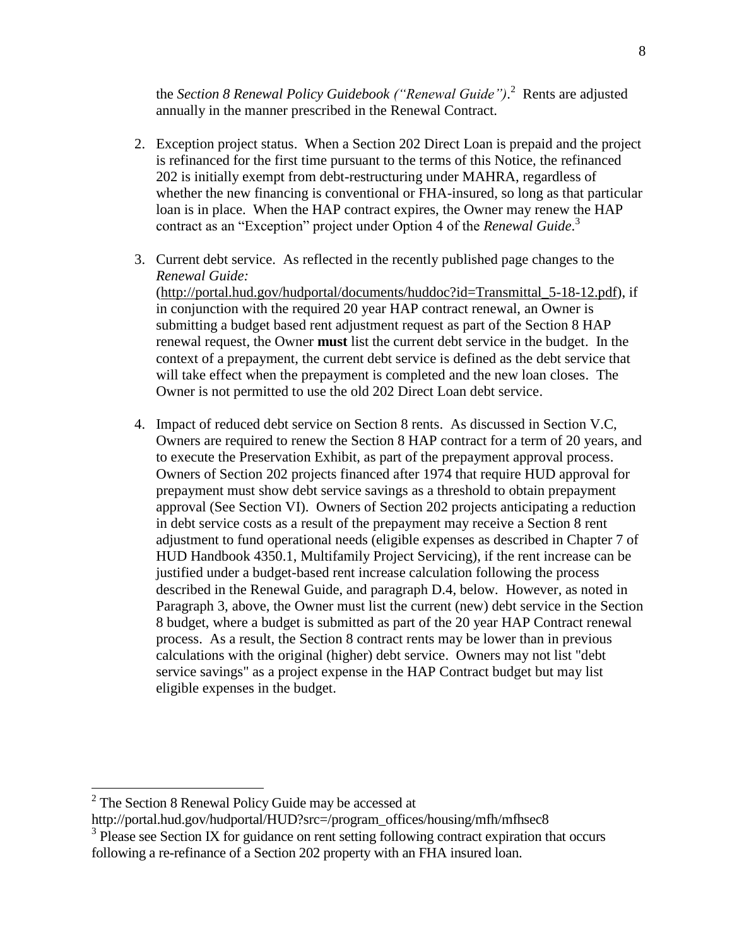the *Section 8 Renewal Policy Guidebook ("Renewal Guide")*. <sup>2</sup> Rents are adjusted annually in the manner prescribed in the Renewal Contract.

- 2. Exception project status. When a Section 202 Direct Loan is prepaid and the project is refinanced for the first time pursuant to the terms of this Notice, the refinanced 202 is initially exempt from debt-restructuring under MAHRA, regardless of whether the new financing is conventional or FHA-insured, so long as that particular loan is in place. When the HAP contract expires, the Owner may renew the HAP contract as an "Exception" project under Option 4 of the *Renewal Guide*. 3
- 3. Current debt service. As reflected in the recently published page changes to the *Renewal Guide:* [\(http://portal.hud.gov/hudportal/documents/huddoc?id=Transmittal\\_5-18-12.pdf\)](http://portal.hud.gov/hudportal/documents/huddoc?id=Transmittal_5-18-12.pdf), if in conjunction with the required 20 year HAP contract renewal, an Owner is submitting a budget based rent adjustment request as part of the Section 8 HAP renewal request, the Owner **must** list the current debt service in the budget. In the context of a prepayment, the current debt service is defined as the debt service that will take effect when the prepayment is completed and the new loan closes. The Owner is not permitted to use the old 202 Direct Loan debt service.
- 4. Impact of reduced debt service on Section 8 rents. As discussed in Section V.C, Owners are required to renew the Section 8 HAP contract for a term of 20 years, and to execute the Preservation Exhibit, as part of the prepayment approval process. Owners of Section 202 projects financed after 1974 that require HUD approval for prepayment must show debt service savings as a threshold to obtain prepayment approval (See Section VI). Owners of Section 202 projects anticipating a reduction in debt service costs as a result of the prepayment may receive a Section 8 rent adjustment to fund operational needs (eligible expenses as described in Chapter 7 of HUD Handbook 4350.1, Multifamily Project Servicing), if the rent increase can be justified under a budget-based rent increase calculation following the process described in the Renewal Guide, and paragraph D.4, below*.* However, as noted in Paragraph 3, above, the Owner must list the current (new) debt service in the Section 8 budget, where a budget is submitted as part of the 20 year HAP Contract renewal process. As a result, the Section 8 contract rents may be lower than in previous calculations with the original (higher) debt service. Owners may not list "debt service savings" as a project expense in the HAP Contract budget but may list eligible expenses in the budget.

 $\overline{a}$ 

 $2^2$  The Section 8 Renewal Policy Guide may be accessed at

http://portal.hud.gov/hudportal/HUD?src=/program\_offices/housing/mfh/mfhsec8

<sup>&</sup>lt;sup>3</sup> Please see Section IX for guidance on rent setting following contract expiration that occurs following a re-refinance of a Section 202 property with an FHA insured loan.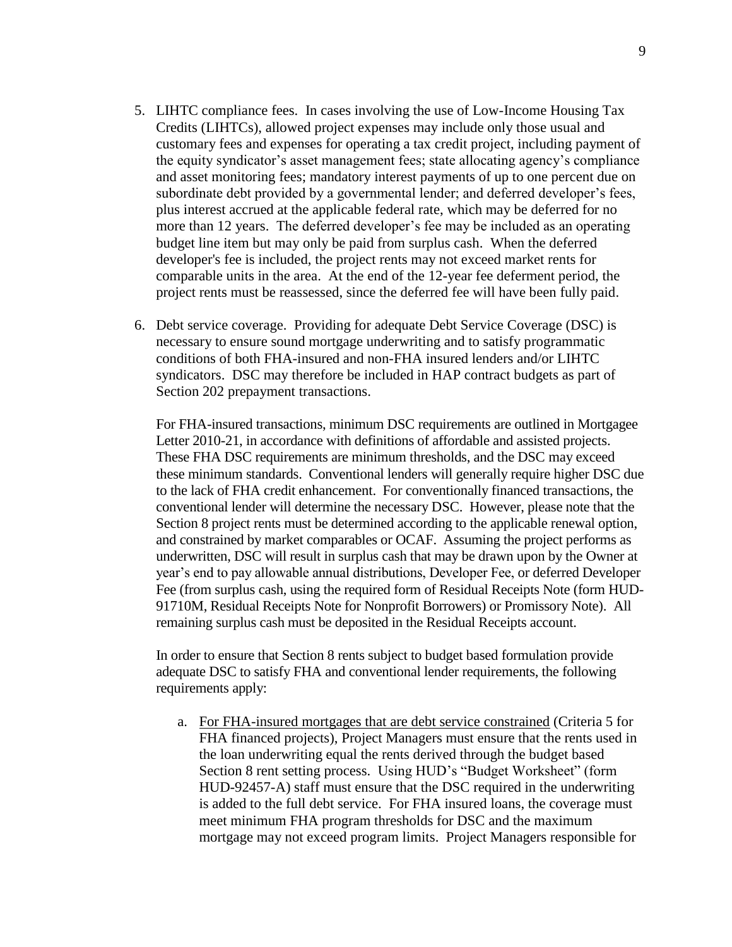- 5. LIHTC compliance fees. In cases involving the use of Low-Income Housing Tax Credits (LIHTCs), allowed project expenses may include only those usual and customary fees and expenses for operating a tax credit project, including payment of the equity syndicator's asset management fees; state allocating agency's compliance and asset monitoring fees; mandatory interest payments of up to one percent due on subordinate debt provided by a governmental lender; and deferred developer's fees, plus interest accrued at the applicable federal rate, which may be deferred for no more than 12 years. The deferred developer's fee may be included as an operating budget line item but may only be paid from surplus cash. When the deferred developer's fee is included, the project rents may not exceed market rents for comparable units in the area. At the end of the 12-year fee deferment period, the project rents must be reassessed, since the deferred fee will have been fully paid.
- 6. Debt service coverage. Providing for adequate Debt Service Coverage (DSC) is necessary to ensure sound mortgage underwriting and to satisfy programmatic conditions of both FHA-insured and non-FHA insured lenders and/or LIHTC syndicators. DSC may therefore be included in HAP contract budgets as part of Section 202 prepayment transactions.

For FHA-insured transactions, minimum DSC requirements are outlined in Mortgagee Letter 2010-21, in accordance with definitions of affordable and assisted projects. These FHA DSC requirements are minimum thresholds, and the DSC may exceed these minimum standards. Conventional lenders will generally require higher DSC due to the lack of FHA credit enhancement. For conventionally financed transactions, the conventional lender will determine the necessary DSC. However, please note that the Section 8 project rents must be determined according to the applicable renewal option, and constrained by market comparables or OCAF. Assuming the project performs as underwritten, DSC will result in surplus cash that may be drawn upon by the Owner at year's end to pay allowable annual distributions, Developer Fee, or deferred Developer Fee (from surplus cash, using the required form of Residual Receipts Note (form HUD-91710M, Residual Receipts Note for Nonprofit Borrowers) or Promissory Note). All remaining surplus cash must be deposited in the Residual Receipts account.

In order to ensure that Section 8 rents subject to budget based formulation provide adequate DSC to satisfy FHA and conventional lender requirements, the following requirements apply:

a. For FHA-insured mortgages that are debt service constrained (Criteria 5 for FHA financed projects), Project Managers must ensure that the rents used in the loan underwriting equal the rents derived through the budget based Section 8 rent setting process. Using HUD's "Budget Worksheet" (form HUD-92457-A) staff must ensure that the DSC required in the underwriting is added to the full debt service. For FHA insured loans, the coverage must meet minimum FHA program thresholds for DSC and the maximum mortgage may not exceed program limits. Project Managers responsible for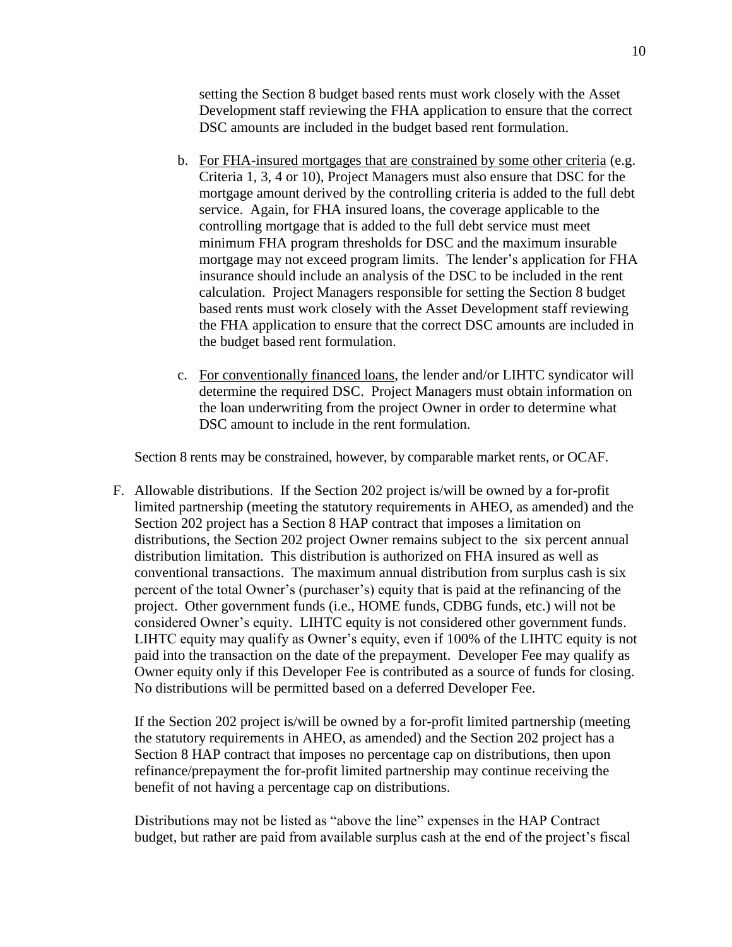setting the Section 8 budget based rents must work closely with the Asset Development staff reviewing the FHA application to ensure that the correct DSC amounts are included in the budget based rent formulation.

- b. For FHA-insured mortgages that are constrained by some other criteria (e.g. Criteria 1, 3, 4 or 10), Project Managers must also ensure that DSC for the mortgage amount derived by the controlling criteria is added to the full debt service. Again, for FHA insured loans, the coverage applicable to the controlling mortgage that is added to the full debt service must meet minimum FHA program thresholds for DSC and the maximum insurable mortgage may not exceed program limits. The lender's application for FHA insurance should include an analysis of the DSC to be included in the rent calculation. Project Managers responsible for setting the Section 8 budget based rents must work closely with the Asset Development staff reviewing the FHA application to ensure that the correct DSC amounts are included in the budget based rent formulation.
- c. For conventionally financed loans, the lender and/or LIHTC syndicator will determine the required DSC. Project Managers must obtain information on the loan underwriting from the project Owner in order to determine what DSC amount to include in the rent formulation.

Section 8 rents may be constrained, however, by comparable market rents, or OCAF.

F. Allowable distributions. If the Section 202 project is/will be owned by a for-profit limited partnership (meeting the statutory requirements in AHEO, as amended) and the Section 202 project has a Section 8 HAP contract that imposes a limitation on distributions, the Section 202 project Owner remains subject to the six percent annual distribution limitation. This distribution is authorized on FHA insured as well as conventional transactions. The maximum annual distribution from surplus cash is six percent of the total Owner's (purchaser's) equity that is paid at the refinancing of the project. Other government funds (i.e., HOME funds, CDBG funds, etc.) will not be considered Owner's equity. LIHTC equity is not considered other government funds. LIHTC equity may qualify as Owner's equity, even if 100% of the LIHTC equity is not paid into the transaction on the date of the prepayment. Developer Fee may qualify as Owner equity only if this Developer Fee is contributed as a source of funds for closing. No distributions will be permitted based on a deferred Developer Fee.

If the Section 202 project is/will be owned by a for-profit limited partnership (meeting the statutory requirements in AHEO, as amended) and the Section 202 project has a Section 8 HAP contract that imposes no percentage cap on distributions, then upon refinance/prepayment the for-profit limited partnership may continue receiving the benefit of not having a percentage cap on distributions.

Distributions may not be listed as "above the line" expenses in the HAP Contract budget, but rather are paid from available surplus cash at the end of the project's fiscal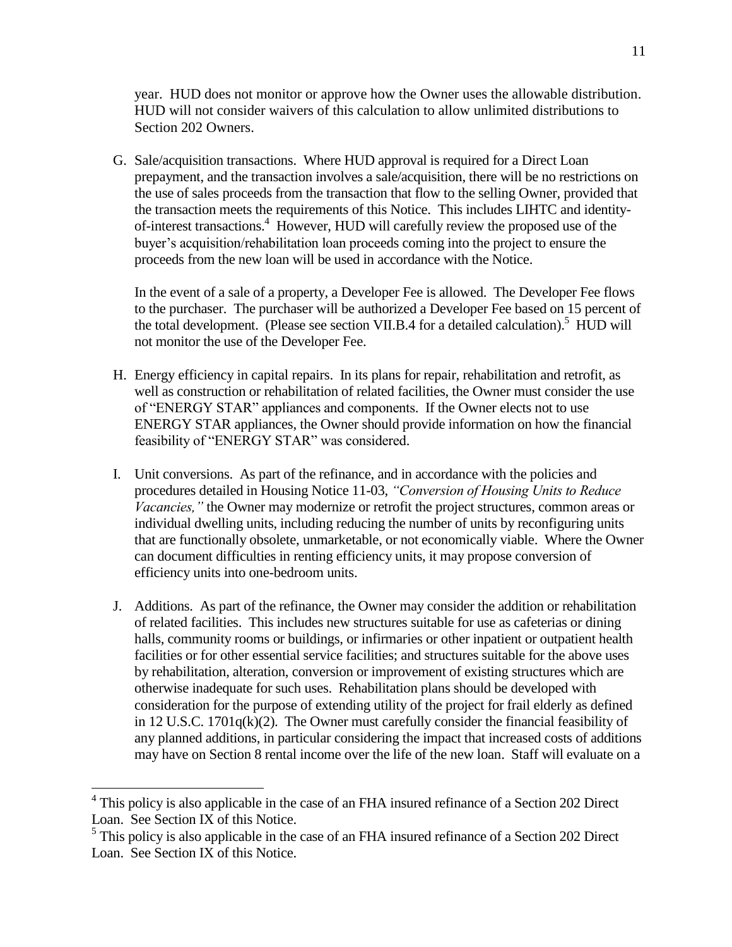year. HUD does not monitor or approve how the Owner uses the allowable distribution. HUD will not consider waivers of this calculation to allow unlimited distributions to Section 202 Owners.

G. Sale/acquisition transactions. Where HUD approval is required for a Direct Loan prepayment, and the transaction involves a sale/acquisition, there will be no restrictions on the use of sales proceeds from the transaction that flow to the selling Owner, provided that the transaction meets the requirements of this Notice. This includes LIHTC and identityof-interest transactions.<sup>4</sup> However, HUD will carefully review the proposed use of the buyer's acquisition/rehabilitation loan proceeds coming into the project to ensure the proceeds from the new loan will be used in accordance with the Notice.

In the event of a sale of a property, a Developer Fee is allowed. The Developer Fee flows to the purchaser. The purchaser will be authorized a Developer Fee based on 15 percent of the total development. (Please see section VII.B.4 for a detailed calculation). <sup>5</sup> HUD will not monitor the use of the Developer Fee.

- H. Energy efficiency in capital repairs. In its plans for repair, rehabilitation and retrofit, as well as construction or rehabilitation of related facilities, the Owner must consider the use of "ENERGY STAR" appliances and components. If the Owner elects not to use ENERGY STAR appliances, the Owner should provide information on how the financial feasibility of "ENERGY STAR" was considered.
- I. Unit conversions. As part of the refinance, and in accordance with the policies and procedures detailed in Housing Notice 11-03, *"Conversion of Housing Units to Reduce Vacancies,"* the Owner may modernize or retrofit the project structures, common areas or individual dwelling units, including reducing the number of units by reconfiguring units that are functionally obsolete, unmarketable, or not economically viable. Where the Owner can document difficulties in renting efficiency units, it may propose conversion of efficiency units into one-bedroom units.
- J. Additions. As part of the refinance, the Owner may consider the addition or rehabilitation of related facilities. This includes new structures suitable for use as cafeterias or dining halls, community rooms or buildings, or infirmaries or other inpatient or outpatient health facilities or for other essential service facilities; and structures suitable for the above uses by rehabilitation, alteration, conversion or improvement of existing structures which are otherwise inadequate for such uses. Rehabilitation plans should be developed with consideration for the purpose of extending utility of the project for frail elderly as defined in 12 U.S.C. 1701q(k)(2). The Owner must carefully consider the financial feasibility of any planned additions, in particular considering the impact that increased costs of additions may have on Section 8 rental income over the life of the new loan. Staff will evaluate on a

 $\overline{a}$ 

<sup>&</sup>lt;sup>4</sup> This policy is also applicable in the case of an FHA insured refinance of a Section 202 Direct Loan. See Section IX of this Notice.

<sup>&</sup>lt;sup>5</sup> This policy is also applicable in the case of an FHA insured refinance of a Section 202 Direct Loan. See Section IX of this Notice.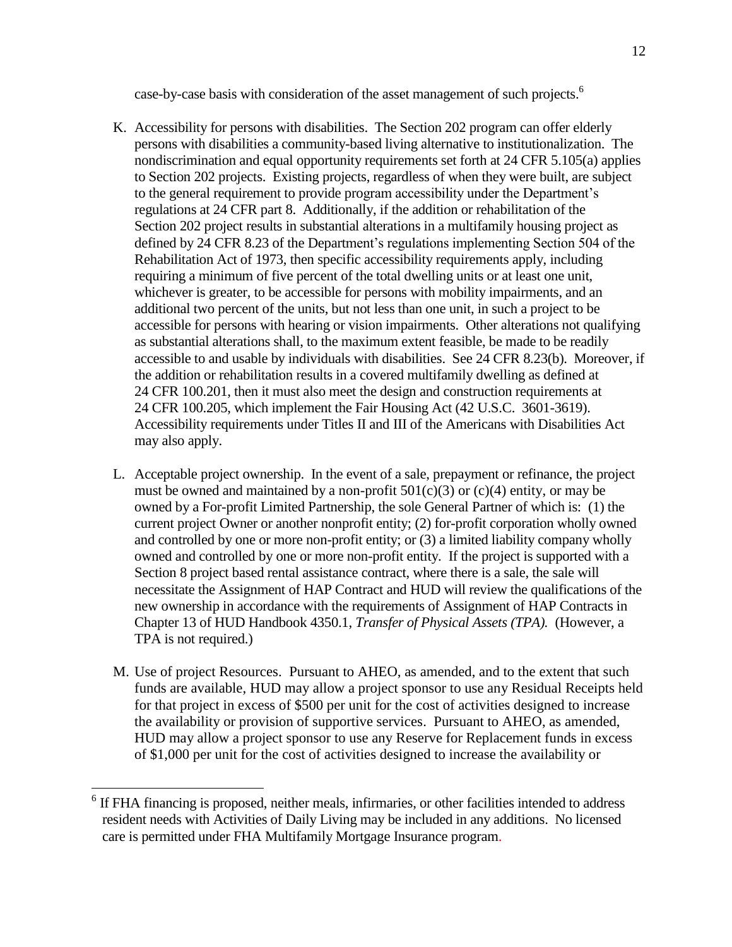case-by-case basis with consideration of the asset management of such projects.<sup>6</sup>

- K. Accessibility for persons with disabilities. The Section 202 program can offer elderly persons with disabilities a community-based living alternative to institutionalization. The nondiscrimination and equal opportunity requirements set forth at 24 CFR 5.105(a) applies to Section 202 projects. Existing projects, regardless of when they were built, are subject to the general requirement to provide program accessibility under the Department's regulations at 24 CFR part 8. Additionally, if the addition or rehabilitation of the Section 202 project results in substantial alterations in a multifamily housing project as defined by 24 CFR 8.23 of the Department's regulations implementing Section 504 of the Rehabilitation Act of 1973, then specific accessibility requirements apply, including requiring a minimum of five percent of the total dwelling units or at least one unit, whichever is greater, to be accessible for persons with mobility impairments, and an additional two percent of the units, but not less than one unit, in such a project to be accessible for persons with hearing or vision impairments. Other alterations not qualifying as substantial alterations shall, to the maximum extent feasible, be made to be readily accessible to and usable by individuals with disabilities. See 24 CFR 8.23(b). Moreover, if the addition or rehabilitation results in a covered multifamily dwelling as defined at 24 CFR 100.201, then it must also meet the design and construction requirements at 24 CFR 100.205, which implement the Fair Housing Act (42 U.S.C. 3601-3619). Accessibility requirements under Titles II and III of the Americans with Disabilities Act may also apply.
- L. Acceptable project ownership. In the event of a sale, prepayment or refinance, the project must be owned and maintained by a non-profit  $501(c)(3)$  or  $(c)(4)$  entity, or may be owned by a For-profit Limited Partnership, the sole General Partner of which is: (1) the current project Owner or another nonprofit entity; (2) for-profit corporation wholly owned and controlled by one or more non-profit entity; or (3) a limited liability company wholly owned and controlled by one or more non-profit entity. If the project is supported with a Section 8 project based rental assistance contract, where there is a sale, the sale will necessitate the Assignment of HAP Contract and HUD will review the qualifications of the new ownership in accordance with the requirements of Assignment of HAP Contracts in Chapter 13 of HUD Handbook 4350.1, *Transfer of Physical Assets (TPA).* (However, a TPA is not required.)
- M. Use of project Resources. Pursuant to AHEO, as amended, and to the extent that such funds are available, HUD may allow a project sponsor to use any Residual Receipts held for that project in excess of \$500 per unit for the cost of activities designed to increase the availability or provision of supportive services. Pursuant to AHEO, as amended, HUD may allow a project sponsor to use any Reserve for Replacement funds in excess of \$1,000 per unit for the cost of activities designed to increase the availability or

 $\overline{a}$ 

<sup>&</sup>lt;sup>6</sup> If FHA financing is proposed, neither meals, infirmaries, or other facilities intended to address resident needs with Activities of Daily Living may be included in any additions. No licensed care is permitted under FHA Multifamily Mortgage Insurance program.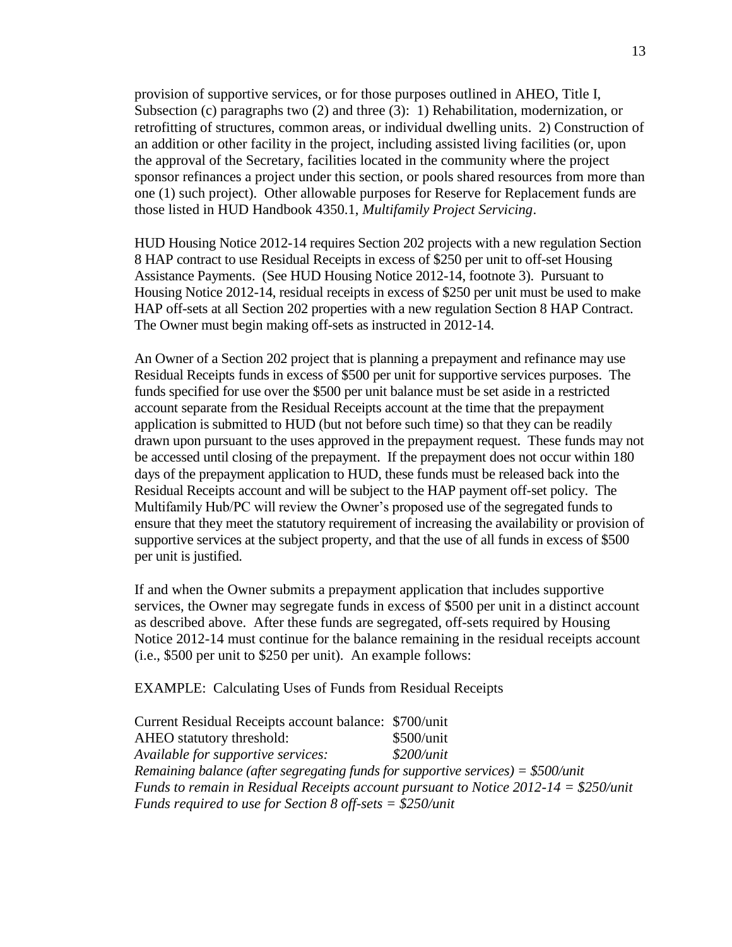provision of supportive services, or for those purposes outlined in AHEO, Title I, Subsection (c) paragraphs two (2) and three (3): 1) Rehabilitation, modernization, or retrofitting of structures, common areas, or individual dwelling units. 2) Construction of an addition or other facility in the project, including assisted living facilities (or, upon the approval of the Secretary, facilities located in the community where the project sponsor refinances a project under this section, or pools shared resources from more than one (1) such project). Other allowable purposes for Reserve for Replacement funds are those listed in HUD Handbook 4350.1, *Multifamily Project Servicing*.

HUD Housing Notice 2012-14 requires Section 202 projects with a new regulation Section 8 HAP contract to use Residual Receipts in excess of \$250 per unit to off-set Housing Assistance Payments. (See HUD Housing Notice 2012-14, footnote 3). Pursuant to Housing Notice 2012-14, residual receipts in excess of \$250 per unit must be used to make HAP off-sets at all Section 202 properties with a new regulation Section 8 HAP Contract. The Owner must begin making off-sets as instructed in 2012-14.

An Owner of a Section 202 project that is planning a prepayment and refinance may use Residual Receipts funds in excess of \$500 per unit for supportive services purposes. The funds specified for use over the \$500 per unit balance must be set aside in a restricted account separate from the Residual Receipts account at the time that the prepayment application is submitted to HUD (but not before such time) so that they can be readily drawn upon pursuant to the uses approved in the prepayment request. These funds may not be accessed until closing of the prepayment. If the prepayment does not occur within 180 days of the prepayment application to HUD, these funds must be released back into the Residual Receipts account and will be subject to the HAP payment off-set policy. The Multifamily Hub/PC will review the Owner's proposed use of the segregated funds to ensure that they meet the statutory requirement of increasing the availability or provision of supportive services at the subject property, and that the use of all funds in excess of \$500 per unit is justified.

If and when the Owner submits a prepayment application that includes supportive services, the Owner may segregate funds in excess of \$500 per unit in a distinct account as described above. After these funds are segregated, off-sets required by Housing Notice 2012-14 must continue for the balance remaining in the residual receipts account (i.e., \$500 per unit to \$250 per unit). An example follows:

EXAMPLE: Calculating Uses of Funds from Residual Receipts

Current Residual Receipts account balance: \$700/unit AHEO statutory threshold: \$500/unit *Available for supportive services: \$200/unit Remaining balance (after segregating funds for supportive services) = \$500/unit Funds to remain in Residual Receipts account pursuant to Notice 2012-14 = \$250/unit Funds required to use for Section 8 off-sets = \$250/unit*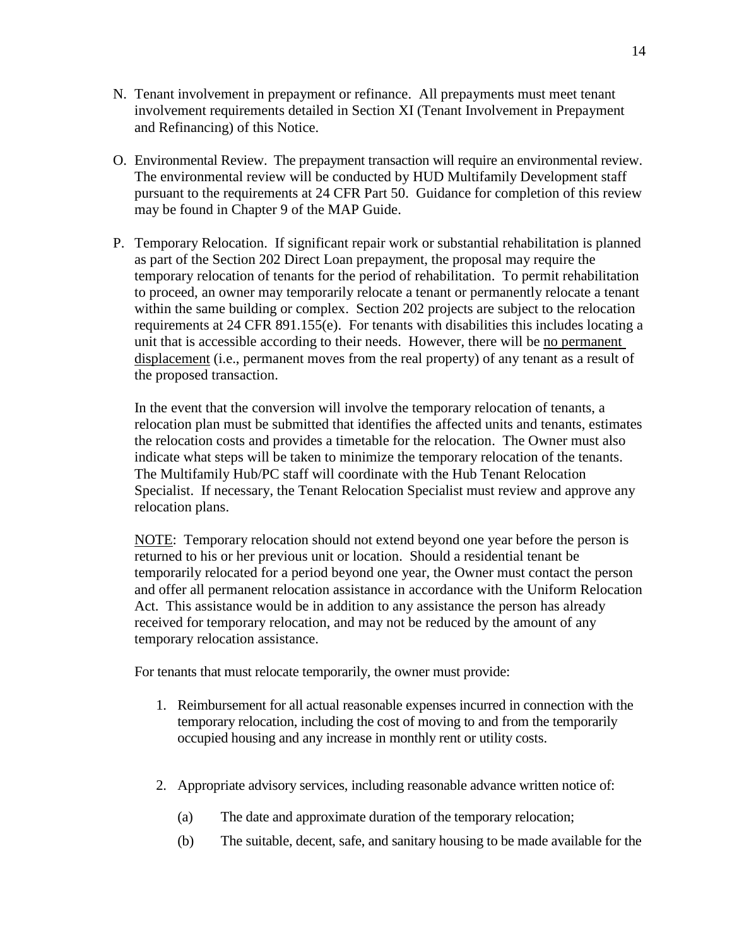- N. Tenant involvement in prepayment or refinance. All prepayments must meet tenant involvement requirements detailed in Section XI (Tenant Involvement in Prepayment and Refinancing) of this Notice.
- O. Environmental Review. The prepayment transaction will require an environmental review. The environmental review will be conducted by HUD Multifamily Development staff pursuant to the requirements at 24 CFR Part 50. Guidance for completion of this review may be found in Chapter 9 of the MAP Guide.
- P. Temporary Relocation. If significant repair work or substantial rehabilitation is planned as part of the Section 202 Direct Loan prepayment, the proposal may require the temporary relocation of tenants for the period of rehabilitation. To permit rehabilitation to proceed, an owner may temporarily relocate a tenant or permanently relocate a tenant within the same building or complex. Section 202 projects are subject to the relocation requirements at 24 CFR 891.155(e). For tenants with disabilities this includes locating a unit that is accessible according to their needs. However, there will be no permanent displacement (i.e., permanent moves from the real property) of any tenant as a result of the proposed transaction.

In the event that the conversion will involve the temporary relocation of tenants, a relocation plan must be submitted that identifies the affected units and tenants, estimates the relocation costs and provides a timetable for the relocation. The Owner must also indicate what steps will be taken to minimize the temporary relocation of the tenants. The Multifamily Hub/PC staff will coordinate with the Hub Tenant Relocation Specialist. If necessary, the Tenant Relocation Specialist must review and approve any relocation plans.

NOTE: Temporary relocation should not extend beyond one year before the person is returned to his or her previous unit or location. Should a residential tenant be temporarily relocated for a period beyond one year, the Owner must contact the person and offer all permanent relocation assistance in accordance with the Uniform Relocation Act. This assistance would be in addition to any assistance the person has already received for temporary relocation, and may not be reduced by the amount of any temporary relocation assistance.

For tenants that must relocate temporarily, the owner must provide:

- 1. Reimbursement for all actual reasonable expenses incurred in connection with the temporary relocation, including the cost of moving to and from the temporarily occupied housing and any increase in monthly rent or utility costs.
- 2. Appropriate advisory services, including reasonable advance written notice of:
	- (a) The date and approximate duration of the temporary relocation;
	- (b) The suitable, decent, safe, and sanitary housing to be made available for the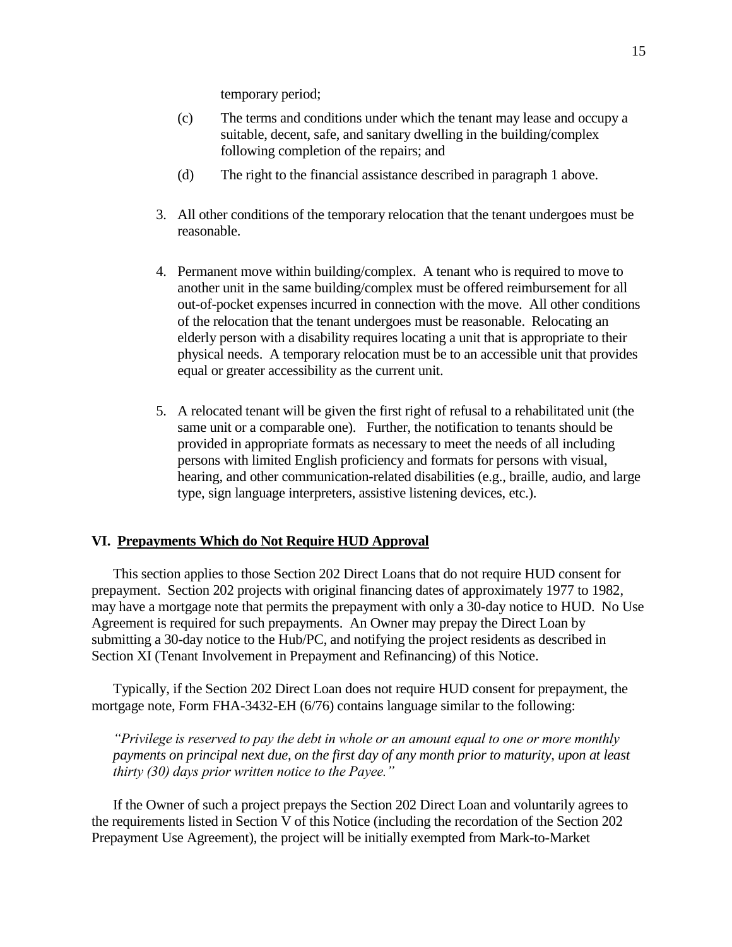temporary period;

- (c) The terms and conditions under which the tenant may lease and occupy a suitable, decent, safe, and sanitary dwelling in the building/complex following completion of the repairs; and
- (d) The right to the financial assistance described in paragraph 1 above.
- 3. All other conditions of the temporary relocation that the tenant undergoes must be reasonable.
- 4. Permanent move within building/complex. A tenant who is required to move to another unit in the same building/complex must be offered reimbursement for all out-of-pocket expenses incurred in connection with the move. All other conditions of the relocation that the tenant undergoes must be reasonable. Relocating an elderly person with a disability requires locating a unit that is appropriate to their physical needs. A temporary relocation must be to an accessible unit that provides equal or greater accessibility as the current unit.
- 5. A relocated tenant will be given the first right of refusal to a rehabilitated unit (the same unit or a comparable one). Further, the notification to tenants should be provided in appropriate formats as necessary to meet the needs of all including persons with limited English proficiency and formats for persons with visual, hearing, and other communication-related disabilities (e.g., braille, audio, and large type, sign language interpreters, assistive listening devices, etc.).

## **VI. Prepayments Which do Not Require HUD Approval**

This section applies to those Section 202 Direct Loans that do not require HUD consent for prepayment. Section 202 projects with original financing dates of approximately 1977 to 1982, may have a mortgage note that permits the prepayment with only a 30-day notice to HUD. No Use Agreement is required for such prepayments. An Owner may prepay the Direct Loan by submitting a 30-day notice to the Hub/PC, and notifying the project residents as described in Section XI (Tenant Involvement in Prepayment and Refinancing) of this Notice.

Typically, if the Section 202 Direct Loan does not require HUD consent for prepayment, the mortgage note, Form FHA-3432-EH (6/76) contains language similar to the following:

*"Privilege is reserved to pay the debt in whole or an amount equal to one or more monthly payments on principal next due, on the first day of any month prior to maturity, upon at least thirty (30) days prior written notice to the Payee."*

If the Owner of such a project prepays the Section 202 Direct Loan and voluntarily agrees to the requirements listed in Section V of this Notice (including the recordation of the Section 202 Prepayment Use Agreement), the project will be initially exempted from Mark-to-Market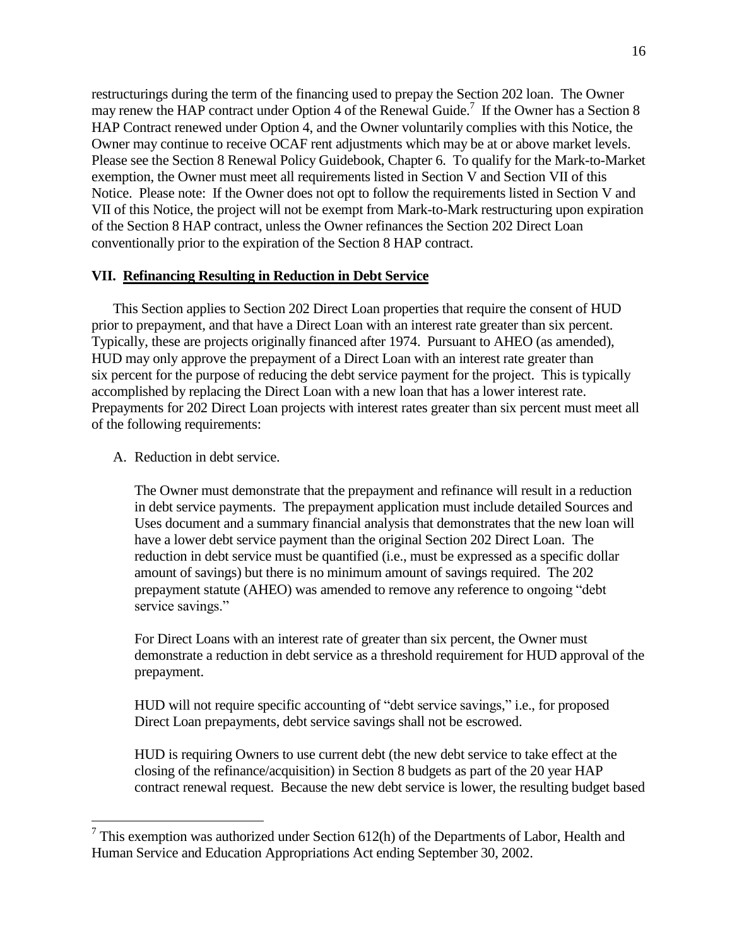restructurings during the term of the financing used to prepay the Section 202 loan. The Owner may renew the HAP contract under Option 4 of the Renewal Guide.<sup>7</sup> If the Owner has a Section 8 HAP Contract renewed under Option 4, and the Owner voluntarily complies with this Notice, the Owner may continue to receive OCAF rent adjustments which may be at or above market levels. Please see the Section 8 Renewal Policy Guidebook, Chapter 6. To qualify for the Mark-to-Market exemption, the Owner must meet all requirements listed in Section V and Section VII of this Notice. Please note: If the Owner does not opt to follow the requirements listed in Section V and VII of this Notice, the project will not be exempt from Mark-to-Mark restructuring upon expiration of the Section 8 HAP contract, unless the Owner refinances the Section 202 Direct Loan conventionally prior to the expiration of the Section 8 HAP contract.

#### **VII. Refinancing Resulting in Reduction in Debt Service**

This Section applies to Section 202 Direct Loan properties that require the consent of HUD prior to prepayment, and that have a Direct Loan with an interest rate greater than six percent. Typically, these are projects originally financed after 1974. Pursuant to AHEO (as amended), HUD may only approve the prepayment of a Direct Loan with an interest rate greater than six percent for the purpose of reducing the debt service payment for the project. This is typically accomplished by replacing the Direct Loan with a new loan that has a lower interest rate. Prepayments for 202 Direct Loan projects with interest rates greater than six percent must meet all of the following requirements:

A. Reduction in debt service.

 $\overline{a}$ 

The Owner must demonstrate that the prepayment and refinance will result in a reduction in debt service payments. The prepayment application must include detailed Sources and Uses document and a summary financial analysis that demonstrates that the new loan will have a lower debt service payment than the original Section 202 Direct Loan. The reduction in debt service must be quantified (i.e., must be expressed as a specific dollar amount of savings) but there is no minimum amount of savings required. The 202 prepayment statute (AHEO) was amended to remove any reference to ongoing "debt service savings."

For Direct Loans with an interest rate of greater than six percent, the Owner must demonstrate a reduction in debt service as a threshold requirement for HUD approval of the prepayment.

HUD will not require specific accounting of "debt service savings," i.e., for proposed Direct Loan prepayments, debt service savings shall not be escrowed.

HUD is requiring Owners to use current debt (the new debt service to take effect at the closing of the refinance/acquisition) in Section 8 budgets as part of the 20 year HAP contract renewal request. Because the new debt service is lower, the resulting budget based

 $7$  This exemption was authorized under Section 612(h) of the Departments of Labor, Health and Human Service and Education Appropriations Act ending September 30, 2002.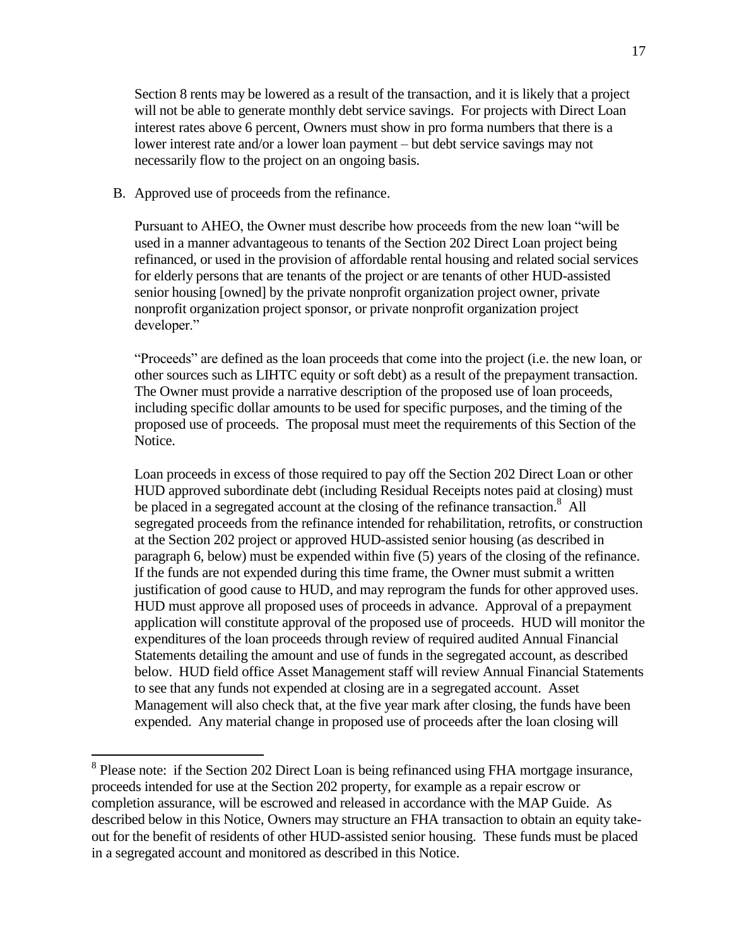Section 8 rents may be lowered as a result of the transaction, and it is likely that a project will not be able to generate monthly debt service savings. For projects with Direct Loan interest rates above 6 percent, Owners must show in pro forma numbers that there is a lower interest rate and/or a lower loan payment – but debt service savings may not necessarily flow to the project on an ongoing basis.

B. Approved use of proceeds from the refinance.

 $\overline{a}$ 

Pursuant to AHEO, the Owner must describe how proceeds from the new loan "will be used in a manner advantageous to tenants of the Section 202 Direct Loan project being refinanced, or used in the provision of affordable rental housing and related social services for elderly persons that are tenants of the project or are tenants of other HUD-assisted senior housing [owned] by the private nonprofit organization project owner, private nonprofit organization project sponsor, or private nonprofit organization project developer."

"Proceeds" are defined as the loan proceeds that come into the project (i.e. the new loan, or other sources such as LIHTC equity or soft debt) as a result of the prepayment transaction. The Owner must provide a narrative description of the proposed use of loan proceeds, including specific dollar amounts to be used for specific purposes, and the timing of the proposed use of proceeds. The proposal must meet the requirements of this Section of the Notice.

Loan proceeds in excess of those required to pay off the Section 202 Direct Loan or other HUD approved subordinate debt (including Residual Receipts notes paid at closing) must be placed in a segregated account at the closing of the refinance transaction.<sup>8</sup> All segregated proceeds from the refinance intended for rehabilitation, retrofits, or construction at the Section 202 project or approved HUD-assisted senior housing (as described in paragraph 6, below) must be expended within five (5) years of the closing of the refinance. If the funds are not expended during this time frame, the Owner must submit a written justification of good cause to HUD, and may reprogram the funds for other approved uses. HUD must approve all proposed uses of proceeds in advance. Approval of a prepayment application will constitute approval of the proposed use of proceeds. HUD will monitor the expenditures of the loan proceeds through review of required audited Annual Financial Statements detailing the amount and use of funds in the segregated account, as described below. HUD field office Asset Management staff will review Annual Financial Statements to see that any funds not expended at closing are in a segregated account. Asset Management will also check that, at the five year mark after closing, the funds have been expended. Any material change in proposed use of proceeds after the loan closing will

<sup>&</sup>lt;sup>8</sup> Please note: if the Section 202 Direct Loan is being refinanced using FHA mortgage insurance, proceeds intended for use at the Section 202 property, for example as a repair escrow or completion assurance, will be escrowed and released in accordance with the MAP Guide. As described below in this Notice, Owners may structure an FHA transaction to obtain an equity takeout for the benefit of residents of other HUD-assisted senior housing. These funds must be placed in a segregated account and monitored as described in this Notice.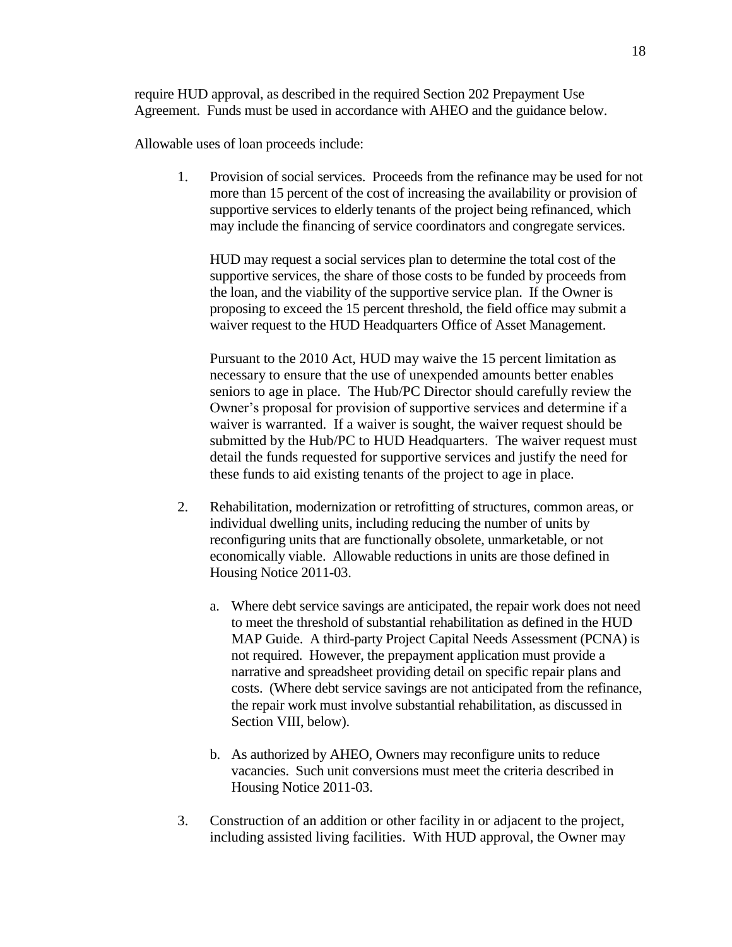require HUD approval, as described in the required Section 202 Prepayment Use Agreement. Funds must be used in accordance with AHEO and the guidance below.

Allowable uses of loan proceeds include:

1. Provision of social services. Proceeds from the refinance may be used for not more than 15 percent of the cost of increasing the availability or provision of supportive services to elderly tenants of the project being refinanced, which may include the financing of service coordinators and congregate services.

HUD may request a social services plan to determine the total cost of the supportive services, the share of those costs to be funded by proceeds from the loan, and the viability of the supportive service plan. If the Owner is proposing to exceed the 15 percent threshold, the field office may submit a waiver request to the HUD Headquarters Office of Asset Management.

Pursuant to the 2010 Act, HUD may waive the 15 percent limitation as necessary to ensure that the use of unexpended amounts better enables seniors to age in place. The Hub/PC Director should carefully review the Owner's proposal for provision of supportive services and determine if a waiver is warranted. If a waiver is sought, the waiver request should be submitted by the Hub/PC to HUD Headquarters. The waiver request must detail the funds requested for supportive services and justify the need for these funds to aid existing tenants of the project to age in place.

- 2. Rehabilitation, modernization or retrofitting of structures, common areas, or individual dwelling units, including reducing the number of units by reconfiguring units that are functionally obsolete, unmarketable, or not economically viable. Allowable reductions in units are those defined in Housing Notice 2011-03.
	- a. Where debt service savings are anticipated, the repair work does not need to meet the threshold of substantial rehabilitation as defined in the HUD MAP Guide. A third-party Project Capital Needs Assessment (PCNA) is not required. However, the prepayment application must provide a narrative and spreadsheet providing detail on specific repair plans and costs. (Where debt service savings are not anticipated from the refinance, the repair work must involve substantial rehabilitation, as discussed in Section VIII, below).
	- b. As authorized by AHEO, Owners may reconfigure units to reduce vacancies. Such unit conversions must meet the criteria described in Housing Notice 2011-03.
- 3. Construction of an addition or other facility in or adjacent to the project, including assisted living facilities. With HUD approval, the Owner may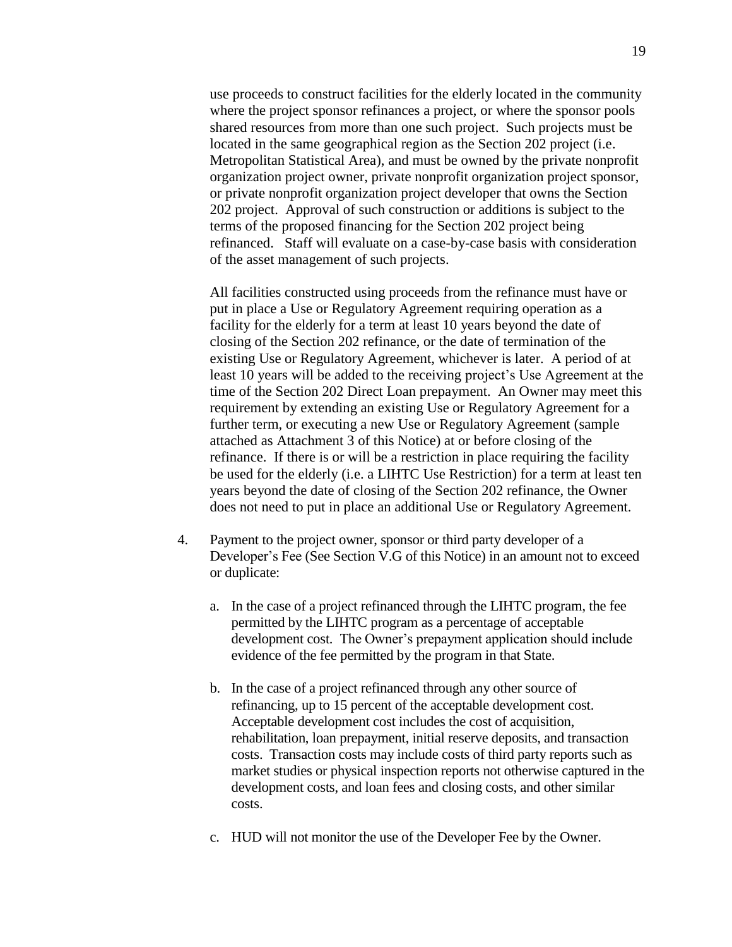use proceeds to construct facilities for the elderly located in the community where the project sponsor refinances a project, or where the sponsor pools shared resources from more than one such project. Such projects must be located in the same geographical region as the Section 202 project (i.e. Metropolitan Statistical Area), and must be owned by the private nonprofit organization project owner, private nonprofit organization project sponsor, or private nonprofit organization project developer that owns the Section 202 project. Approval of such construction or additions is subject to the terms of the proposed financing for the Section 202 project being refinanced. Staff will evaluate on a case-by-case basis with consideration of the asset management of such projects.

All facilities constructed using proceeds from the refinance must have or put in place a Use or Regulatory Agreement requiring operation as a facility for the elderly for a term at least 10 years beyond the date of closing of the Section 202 refinance, or the date of termination of the existing Use or Regulatory Agreement, whichever is later. A period of at least 10 years will be added to the receiving project's Use Agreement at the time of the Section 202 Direct Loan prepayment. An Owner may meet this requirement by extending an existing Use or Regulatory Agreement for a further term, or executing a new Use or Regulatory Agreement (sample attached as Attachment 3 of this Notice) at or before closing of the refinance. If there is or will be a restriction in place requiring the facility be used for the elderly (i.e. a LIHTC Use Restriction) for a term at least ten years beyond the date of closing of the Section 202 refinance, the Owner does not need to put in place an additional Use or Regulatory Agreement.

- 4. Payment to the project owner, sponsor or third party developer of a Developer's Fee (See Section V.G of this Notice) in an amount not to exceed or duplicate:
	- a. In the case of a project refinanced through the LIHTC program, the fee permitted by the LIHTC program as a percentage of acceptable development cost. The Owner's prepayment application should include evidence of the fee permitted by the program in that State.
	- b. In the case of a project refinanced through any other source of refinancing, up to 15 percent of the acceptable development cost. Acceptable development cost includes the cost of acquisition, rehabilitation, loan prepayment, initial reserve deposits, and transaction costs. Transaction costs may include costs of third party reports such as market studies or physical inspection reports not otherwise captured in the development costs, and loan fees and closing costs, and other similar costs.
	- c. HUD will not monitor the use of the Developer Fee by the Owner.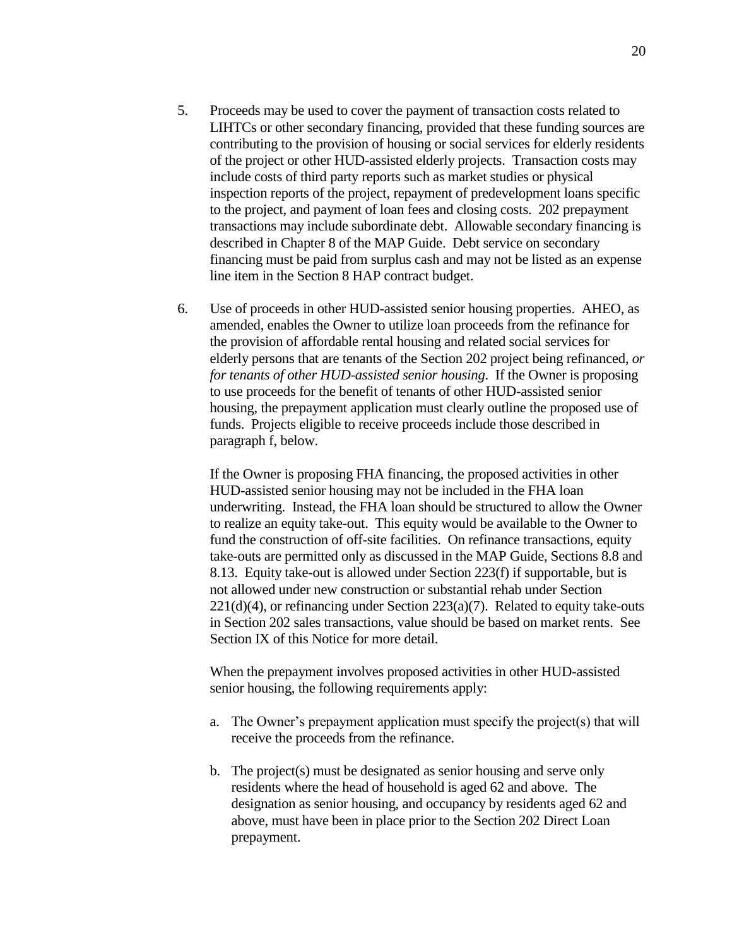- 5. Proceeds may be used to cover the payment of transaction costs related to LIHTCs or other secondary financing, provided that these funding sources are contributing to the provision of housing or social services for elderly residents of the project or other HUD-assisted elderly projects. Transaction costs may include costs of third party reports such as market studies or physical inspection reports of the project, repayment of predevelopment loans specific to the project, and payment of loan fees and closing costs. 202 prepayment transactions may include subordinate debt. Allowable secondary financing is described in Chapter 8 of the MAP Guide. Debt service on secondary financing must be paid from surplus cash and may not be listed as an expense line item in the Section 8 HAP contract budget.
- 6. Use of proceeds in other HUD-assisted senior housing properties. AHEO, as amended, enables the Owner to utilize loan proceeds from the refinance for the provision of affordable rental housing and related social services for elderly persons that are tenants of the Section 202 project being refinanced, *or for tenants of other HUD-assisted senior housing*. If the Owner is proposing to use proceeds for the benefit of tenants of other HUD-assisted senior housing, the prepayment application must clearly outline the proposed use of funds. Projects eligible to receive proceeds include those described in paragraph f, below.

If the Owner is proposing FHA financing, the proposed activities in other HUD-assisted senior housing may not be included in the FHA loan underwriting. Instead, the FHA loan should be structured to allow the Owner to realize an equity take-out. This equity would be available to the Owner to fund the construction of off-site facilities. On refinance transactions, equity take-outs are permitted only as discussed in the MAP Guide, Sections 8.8 and 8.13. Equity take-out is allowed under Section 223(f) if supportable, but is not allowed under new construction or substantial rehab under Section  $221(d)(4)$ , or refinancing under Section  $223(a)(7)$ . Related to equity take-outs in Section 202 sales transactions, value should be based on market rents. See Section IX of this Notice for more detail.

When the prepayment involves proposed activities in other HUD-assisted senior housing, the following requirements apply:

- a. The Owner's prepayment application must specify the project(s) that will receive the proceeds from the refinance.
- b. The project(s) must be designated as senior housing and serve only residents where the head of household is aged 62 and above. The designation as senior housing, and occupancy by residents aged 62 and above, must have been in place prior to the Section 202 Direct Loan prepayment.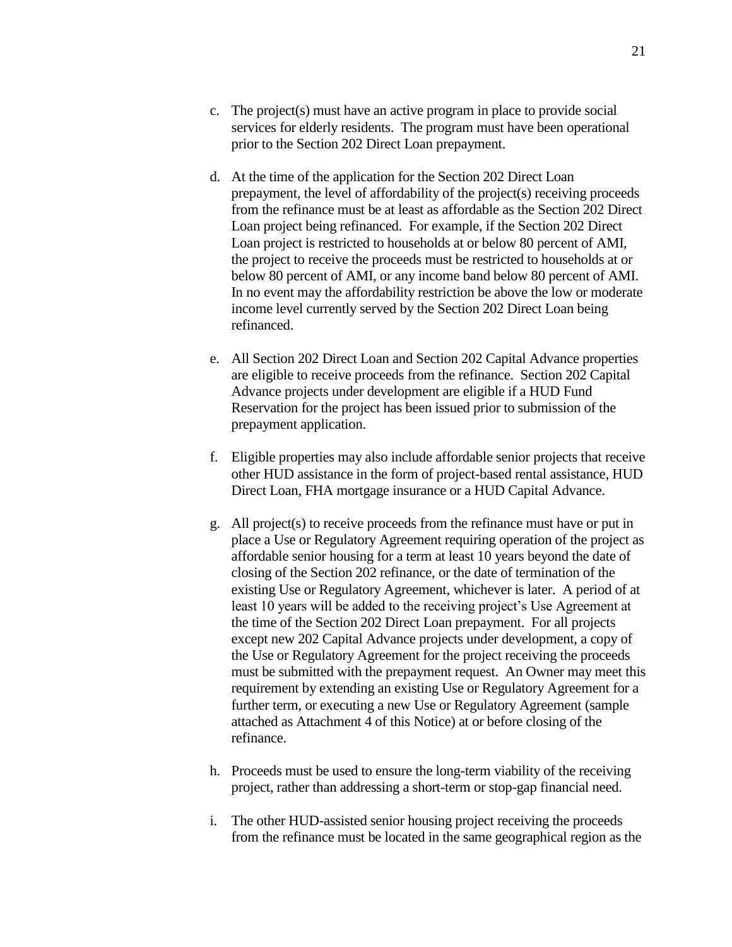- d. At the time of the application for the Section 202 Direct Loan prepayment, the level of affordability of the project(s) receiving proceeds from the refinance must be at least as affordable as the Section 202 Direct Loan project being refinanced. For example, if the Section 202 Direct Loan project is restricted to households at or below 80 percent of AMI, the project to receive the proceeds must be restricted to households at or below 80 percent of AMI, or any income band below 80 percent of AMI. In no event may the affordability restriction be above the low or moderate income level currently served by the Section 202 Direct Loan being refinanced.
- e. All Section 202 Direct Loan and Section 202 Capital Advance properties are eligible to receive proceeds from the refinance. Section 202 Capital Advance projects under development are eligible if a HUD Fund Reservation for the project has been issued prior to submission of the prepayment application.
- f. Eligible properties may also include affordable senior projects that receive other HUD assistance in the form of project-based rental assistance, HUD Direct Loan, FHA mortgage insurance or a HUD Capital Advance.
- g. All project(s) to receive proceeds from the refinance must have or put in place a Use or Regulatory Agreement requiring operation of the project as affordable senior housing for a term at least 10 years beyond the date of closing of the Section 202 refinance, or the date of termination of the existing Use or Regulatory Agreement, whichever is later. A period of at least 10 years will be added to the receiving project's Use Agreement at the time of the Section 202 Direct Loan prepayment. For all projects except new 202 Capital Advance projects under development, a copy of the Use or Regulatory Agreement for the project receiving the proceeds must be submitted with the prepayment request. An Owner may meet this requirement by extending an existing Use or Regulatory Agreement for a further term, or executing a new Use or Regulatory Agreement (sample attached as Attachment 4 of this Notice) at or before closing of the refinance.
- h. Proceeds must be used to ensure the long-term viability of the receiving project, rather than addressing a short-term or stop-gap financial need.
- i. The other HUD-assisted senior housing project receiving the proceeds from the refinance must be located in the same geographical region as the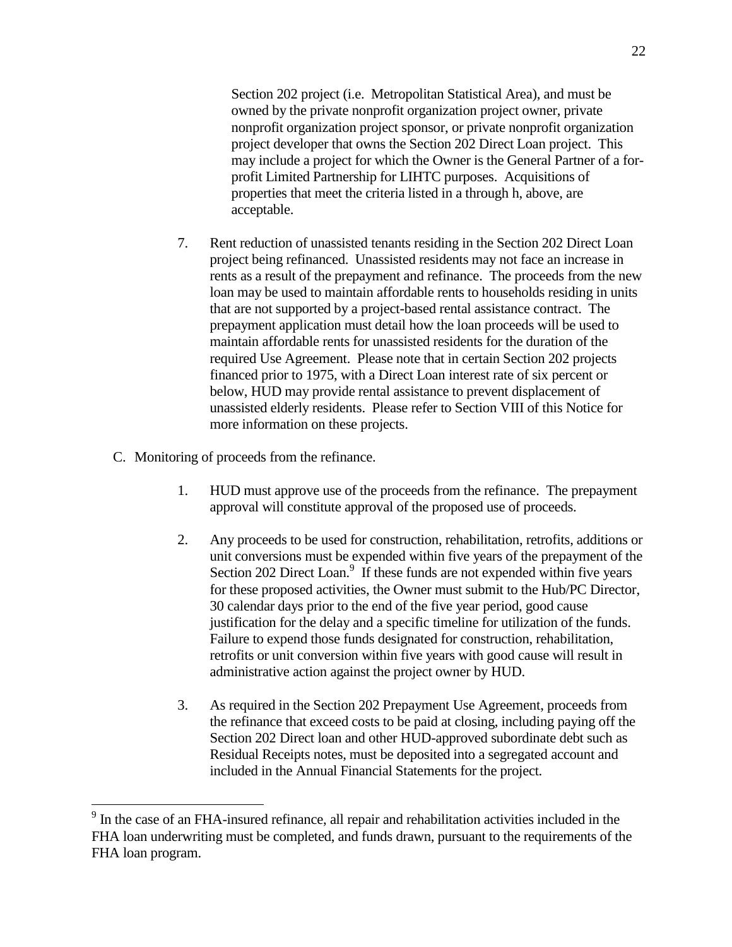Section 202 project (i.e. Metropolitan Statistical Area), and must be owned by the private nonprofit organization project owner, private nonprofit organization project sponsor, or private nonprofit organization project developer that owns the Section 202 Direct Loan project. This may include a project for which the Owner is the General Partner of a forprofit Limited Partnership for LIHTC purposes. Acquisitions of properties that meet the criteria listed in a through h, above, are acceptable.

- 7. Rent reduction of unassisted tenants residing in the Section 202 Direct Loan project being refinanced. Unassisted residents may not face an increase in rents as a result of the prepayment and refinance. The proceeds from the new loan may be used to maintain affordable rents to households residing in units that are not supported by a project-based rental assistance contract. The prepayment application must detail how the loan proceeds will be used to maintain affordable rents for unassisted residents for the duration of the required Use Agreement. Please note that in certain Section 202 projects financed prior to 1975, with a Direct Loan interest rate of six percent or below, HUD may provide rental assistance to prevent displacement of unassisted elderly residents. Please refer to Section VIII of this Notice for more information on these projects.
- C. Monitoring of proceeds from the refinance.

 $\overline{a}$ 

- 1. HUD must approve use of the proceeds from the refinance. The prepayment approval will constitute approval of the proposed use of proceeds.
- 2. Any proceeds to be used for construction, rehabilitation, retrofits, additions or unit conversions must be expended within five years of the prepayment of the Section 202 Direct Loan.<sup>9</sup> If these funds are not expended within five years for these proposed activities, the Owner must submit to the Hub/PC Director, 30 calendar days prior to the end of the five year period, good cause justification for the delay and a specific timeline for utilization of the funds. Failure to expend those funds designated for construction, rehabilitation, retrofits or unit conversion within five years with good cause will result in administrative action against the project owner by HUD.
- 3. As required in the Section 202 Prepayment Use Agreement, proceeds from the refinance that exceed costs to be paid at closing, including paying off the Section 202 Direct loan and other HUD-approved subordinate debt such as Residual Receipts notes, must be deposited into a segregated account and included in the Annual Financial Statements for the project.

 $9<sup>9</sup>$  In the case of an FHA-insured refinance, all repair and rehabilitation activities included in the FHA loan underwriting must be completed, and funds drawn, pursuant to the requirements of the FHA loan program.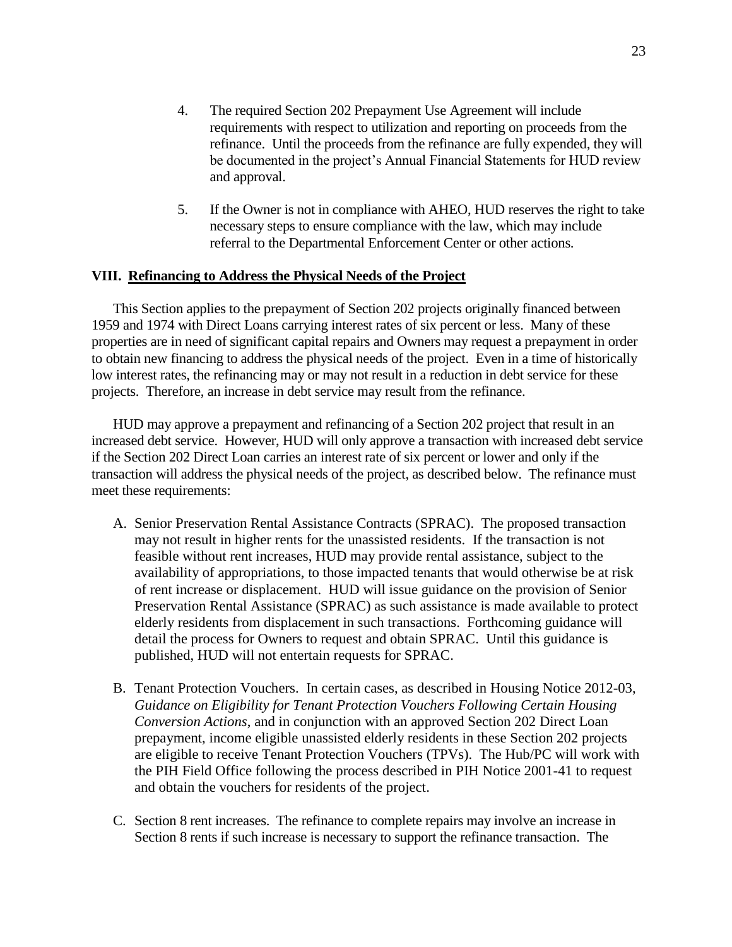- 4. The required Section 202 Prepayment Use Agreement will include requirements with respect to utilization and reporting on proceeds from the refinance. Until the proceeds from the refinance are fully expended, they will be documented in the project's Annual Financial Statements for HUD review and approval.
- 5. If the Owner is not in compliance with AHEO, HUD reserves the right to take necessary steps to ensure compliance with the law, which may include referral to the Departmental Enforcement Center or other actions.

## **VIII. Refinancing to Address the Physical Needs of the Project**

This Section applies to the prepayment of Section 202 projects originally financed between 1959 and 1974 with Direct Loans carrying interest rates of six percent or less. Many of these properties are in need of significant capital repairs and Owners may request a prepayment in order to obtain new financing to address the physical needs of the project. Even in a time of historically low interest rates, the refinancing may or may not result in a reduction in debt service for these projects. Therefore, an increase in debt service may result from the refinance.

HUD may approve a prepayment and refinancing of a Section 202 project that result in an increased debt service. However, HUD will only approve a transaction with increased debt service if the Section 202 Direct Loan carries an interest rate of six percent or lower and only if the transaction will address the physical needs of the project, as described below. The refinance must meet these requirements:

- A. Senior Preservation Rental Assistance Contracts (SPRAC). The proposed transaction may not result in higher rents for the unassisted residents. If the transaction is not feasible without rent increases, HUD may provide rental assistance, subject to the availability of appropriations, to those impacted tenants that would otherwise be at risk of rent increase or displacement. HUD will issue guidance on the provision of Senior Preservation Rental Assistance (SPRAC) as such assistance is made available to protect elderly residents from displacement in such transactions. Forthcoming guidance will detail the process for Owners to request and obtain SPRAC. Until this guidance is published, HUD will not entertain requests for SPRAC.
- B. Tenant Protection Vouchers. In certain cases, as described in Housing Notice 2012-03, *Guidance on Eligibility for Tenant Protection Vouchers Following Certain Housing Conversion Actions*, and in conjunction with an approved Section 202 Direct Loan prepayment, income eligible unassisted elderly residents in these Section 202 projects are eligible to receive Tenant Protection Vouchers (TPVs). The Hub/PC will work with the PIH Field Office following the process described in PIH Notice 2001-41 to request and obtain the vouchers for residents of the project.
- C. Section 8 rent increases. The refinance to complete repairs may involve an increase in Section 8 rents if such increase is necessary to support the refinance transaction. The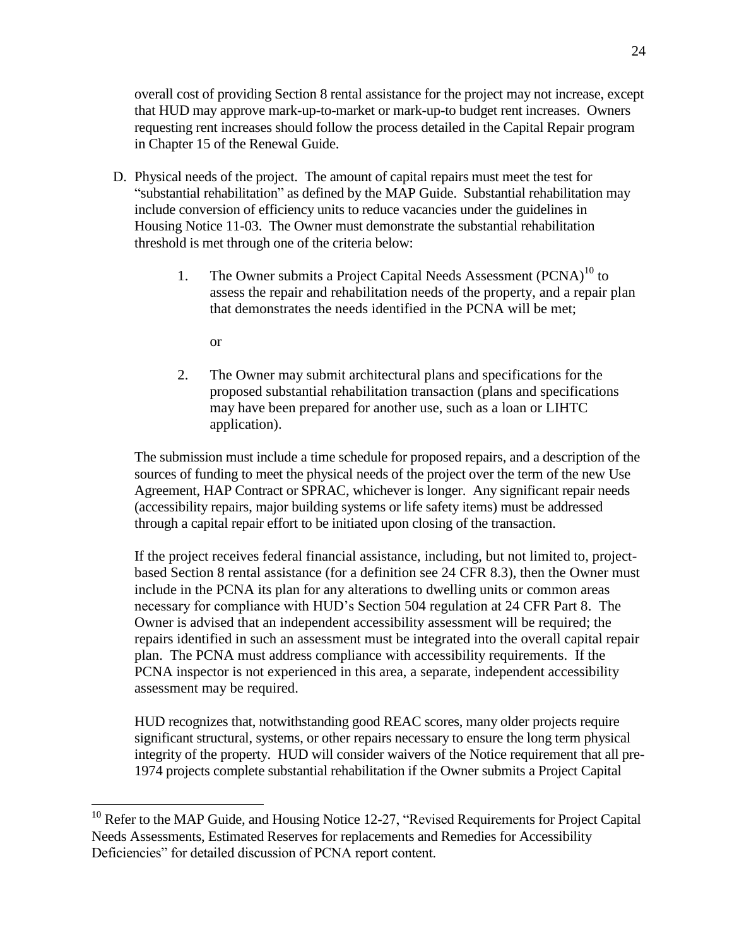overall cost of providing Section 8 rental assistance for the project may not increase, except that HUD may approve mark-up-to-market or mark-up-to budget rent increases. Owners requesting rent increases should follow the process detailed in the Capital Repair program in Chapter 15 of the Renewal Guide.

- D. Physical needs of the project. The amount of capital repairs must meet the test for "substantial rehabilitation" as defined by the MAP Guide. Substantial rehabilitation may include conversion of efficiency units to reduce vacancies under the guidelines in Housing Notice 11-03. The Owner must demonstrate the substantial rehabilitation threshold is met through one of the criteria below:
	- 1. The Owner submits a Project Capital Needs Assessment (PCNA)<sup>10</sup> to assess the repair and rehabilitation needs of the property, and a repair plan that demonstrates the needs identified in the PCNA will be met;
		- or

 $\overline{a}$ 

2. The Owner may submit architectural plans and specifications for the proposed substantial rehabilitation transaction (plans and specifications may have been prepared for another use, such as a loan or LIHTC application).

The submission must include a time schedule for proposed repairs, and a description of the sources of funding to meet the physical needs of the project over the term of the new Use Agreement, HAP Contract or SPRAC, whichever is longer. Any significant repair needs (accessibility repairs, major building systems or life safety items) must be addressed through a capital repair effort to be initiated upon closing of the transaction.

If the project receives federal financial assistance, including, but not limited to, projectbased Section 8 rental assistance (for a definition see 24 CFR 8.3), then the Owner must include in the PCNA its plan for any alterations to dwelling units or common areas necessary for compliance with HUD's Section 504 regulation at 24 CFR Part 8. The Owner is advised that an independent accessibility assessment will be required; the repairs identified in such an assessment must be integrated into the overall capital repair plan. The PCNA must address compliance with accessibility requirements. If the PCNA inspector is not experienced in this area, a separate, independent accessibility assessment may be required.

HUD recognizes that, notwithstanding good REAC scores, many older projects require significant structural, systems, or other repairs necessary to ensure the long term physical integrity of the property. HUD will consider waivers of the Notice requirement that all pre-1974 projects complete substantial rehabilitation if the Owner submits a Project Capital

 $10$  Refer to the MAP Guide, and Housing Notice 12-27, "Revised Requirements for Project Capital Needs Assessments, Estimated Reserves for replacements and Remedies for Accessibility Deficiencies" for detailed discussion of PCNA report content.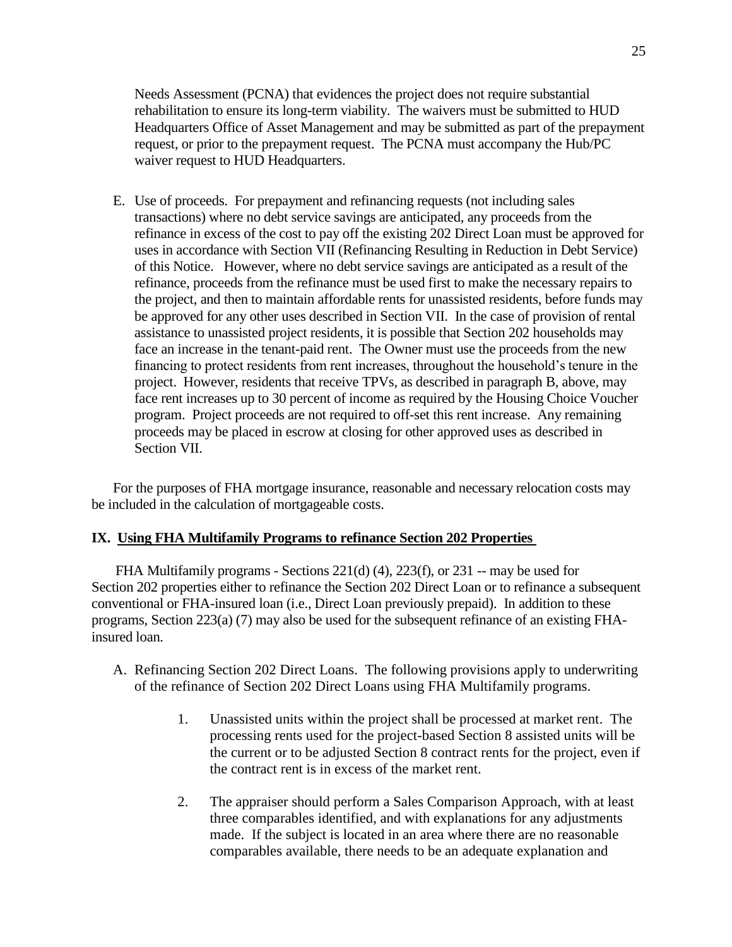Needs Assessment (PCNA) that evidences the project does not require substantial rehabilitation to ensure its long-term viability. The waivers must be submitted to HUD Headquarters Office of Asset Management and may be submitted as part of the prepayment request, or prior to the prepayment request. The PCNA must accompany the Hub/PC waiver request to HUD Headquarters.

E. Use of proceeds. For prepayment and refinancing requests (not including sales transactions) where no debt service savings are anticipated, any proceeds from the refinance in excess of the cost to pay off the existing 202 Direct Loan must be approved for uses in accordance with Section VII (Refinancing Resulting in Reduction in Debt Service) of this Notice. However, where no debt service savings are anticipated as a result of the refinance, proceeds from the refinance must be used first to make the necessary repairs to the project, and then to maintain affordable rents for unassisted residents, before funds may be approved for any other uses described in Section VII. In the case of provision of rental assistance to unassisted project residents, it is possible that Section 202 households may face an increase in the tenant-paid rent. The Owner must use the proceeds from the new financing to protect residents from rent increases, throughout the household's tenure in the project. However, residents that receive TPVs, as described in paragraph B, above, may face rent increases up to 30 percent of income as required by the Housing Choice Voucher program. Project proceeds are not required to off-set this rent increase. Any remaining proceeds may be placed in escrow at closing for other approved uses as described in Section VII.

For the purposes of FHA mortgage insurance, reasonable and necessary relocation costs may be included in the calculation of mortgageable costs.

## **IX. Using FHA Multifamily Programs to refinance Section 202 Properties**

 FHA Multifamily programs - Sections 221(d) (4), 223(f), or 231 -- may be used for Section 202 properties either to refinance the Section 202 Direct Loan or to refinance a subsequent conventional or FHA-insured loan (i.e., Direct Loan previously prepaid). In addition to these programs, Section 223(a) (7) may also be used for the subsequent refinance of an existing FHAinsured loan.

- A. Refinancing Section 202 Direct Loans. The following provisions apply to underwriting of the refinance of Section 202 Direct Loans using FHA Multifamily programs.
	- 1. Unassisted units within the project shall be processed at market rent. The processing rents used for the project-based Section 8 assisted units will be the current or to be adjusted Section 8 contract rents for the project, even if the contract rent is in excess of the market rent.
	- 2. The appraiser should perform a Sales Comparison Approach, with at least three comparables identified, and with explanations for any adjustments made. If the subject is located in an area where there are no reasonable comparables available, there needs to be an adequate explanation and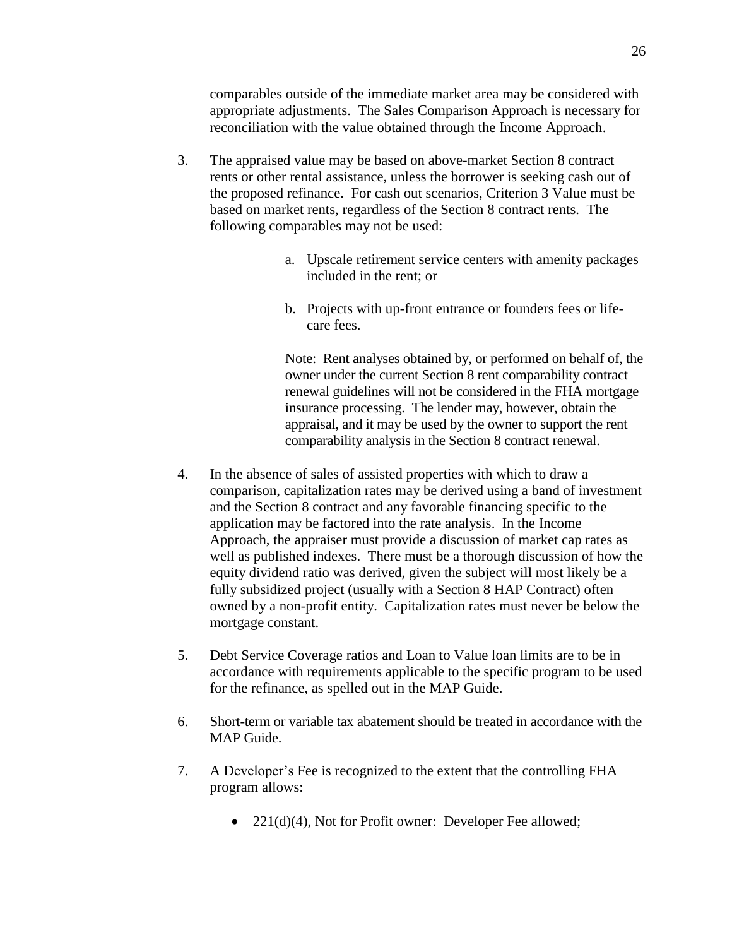comparables outside of the immediate market area may be considered with appropriate adjustments. The Sales Comparison Approach is necessary for reconciliation with the value obtained through the Income Approach.

- 3. The appraised value may be based on above-market Section 8 contract rents or other rental assistance, unless the borrower is seeking cash out of the proposed refinance. For cash out scenarios, Criterion 3 Value must be based on market rents, regardless of the Section 8 contract rents. The following comparables may not be used:
	- a. Upscale retirement service centers with amenity packages included in the rent; or
	- b. Projects with up-front entrance or founders fees or lifecare fees.

Note: Rent analyses obtained by, or performed on behalf of, the owner under the current Section 8 rent comparability contract renewal guidelines will not be considered in the FHA mortgage insurance processing. The lender may, however, obtain the appraisal, and it may be used by the owner to support the rent comparability analysis in the Section 8 contract renewal.

- 4. In the absence of sales of assisted properties with which to draw a comparison, capitalization rates may be derived using a band of investment and the Section 8 contract and any favorable financing specific to the application may be factored into the rate analysis. In the Income Approach, the appraiser must provide a discussion of market cap rates as well as published indexes. There must be a thorough discussion of how the equity dividend ratio was derived, given the subject will most likely be a fully subsidized project (usually with a Section 8 HAP Contract) often owned by a non-profit entity. Capitalization rates must never be below the mortgage constant.
- 5. Debt Service Coverage ratios and Loan to Value loan limits are to be in accordance with requirements applicable to the specific program to be used for the refinance, as spelled out in the MAP Guide.
- 6. Short-term or variable tax abatement should be treated in accordance with the MAP Guide.
- 7. A Developer's Fee is recognized to the extent that the controlling FHA program allows:
	- 221(d)(4), Not for Profit owner: Developer Fee allowed;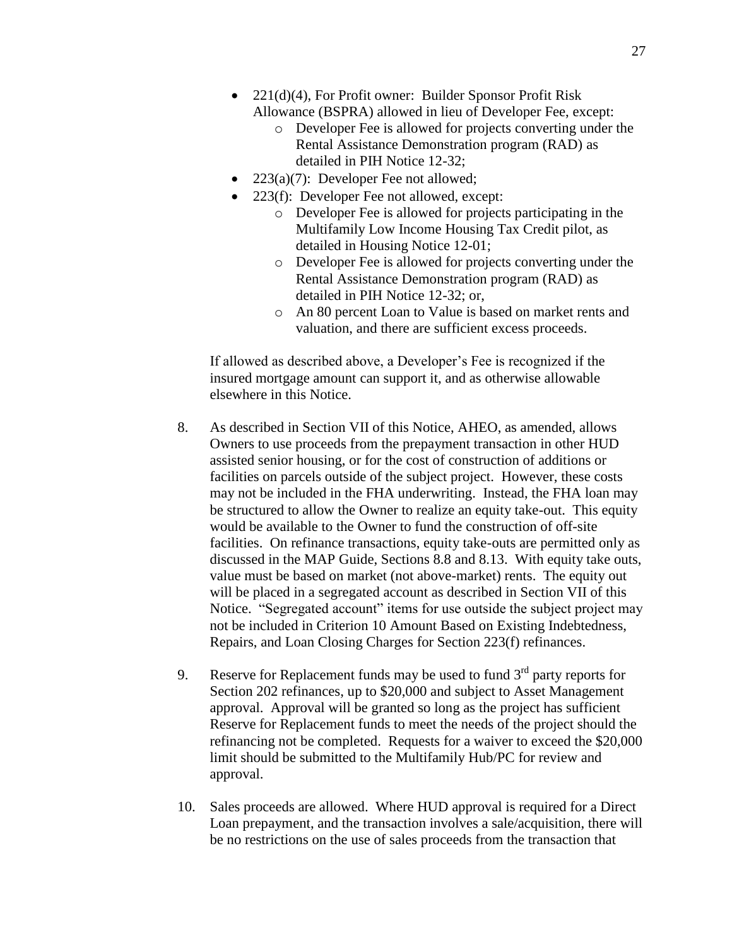- 221(d)(4), For Profit owner: Builder Sponsor Profit Risk Allowance (BSPRA) allowed in lieu of Developer Fee, except:
	- o Developer Fee is allowed for projects converting under the Rental Assistance Demonstration program (RAD) as detailed in PIH Notice 12-32;
- 223(a)(7): Developer Fee not allowed;
- 223(f): Developer Fee not allowed, except:
	- o Developer Fee is allowed for projects participating in the Multifamily Low Income Housing Tax Credit pilot, as detailed in Housing Notice 12-01;
	- o Developer Fee is allowed for projects converting under the Rental Assistance Demonstration program (RAD) as detailed in PIH Notice 12-32; or,
	- o An 80 percent Loan to Value is based on market rents and valuation, and there are sufficient excess proceeds.

If allowed as described above, a Developer's Fee is recognized if the insured mortgage amount can support it, and as otherwise allowable elsewhere in this Notice.

- 8. As described in Section VII of this Notice, AHEO, as amended, allows Owners to use proceeds from the prepayment transaction in other HUD assisted senior housing, or for the cost of construction of additions or facilities on parcels outside of the subject project. However, these costs may not be included in the FHA underwriting. Instead, the FHA loan may be structured to allow the Owner to realize an equity take-out. This equity would be available to the Owner to fund the construction of off-site facilities. On refinance transactions, equity take-outs are permitted only as discussed in the MAP Guide, Sections 8.8 and 8.13. With equity take outs, value must be based on market (not above-market) rents. The equity out will be placed in a segregated account as described in Section VII of this Notice. "Segregated account" items for use outside the subject project may not be included in Criterion 10 Amount Based on Existing Indebtedness, Repairs, and Loan Closing Charges for Section 223(f) refinances.
- 9. Reserve for Replacement funds may be used to fund  $3<sup>rd</sup>$  party reports for Section 202 refinances, up to \$20,000 and subject to Asset Management approval. Approval will be granted so long as the project has sufficient Reserve for Replacement funds to meet the needs of the project should the refinancing not be completed. Requests for a waiver to exceed the \$20,000 limit should be submitted to the Multifamily Hub/PC for review and approval.
- 10. Sales proceeds are allowed. Where HUD approval is required for a Direct Loan prepayment, and the transaction involves a sale/acquisition, there will be no restrictions on the use of sales proceeds from the transaction that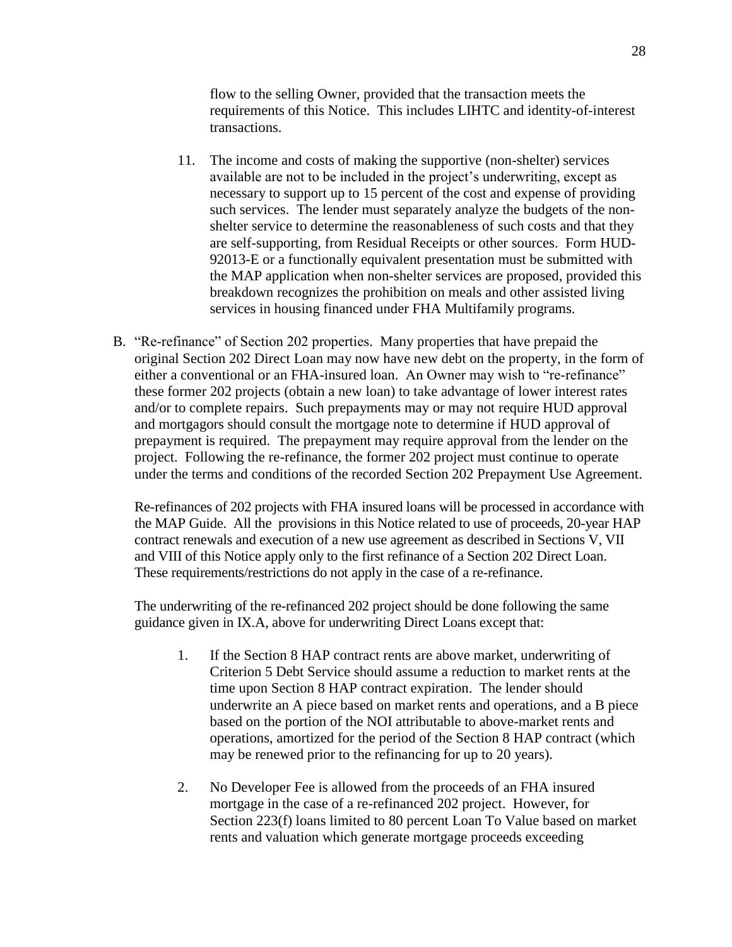flow to the selling Owner, provided that the transaction meets the requirements of this Notice. This includes LIHTC and identity-of-interest transactions.

- 11. The income and costs of making the supportive (non-shelter) services available are not to be included in the project's underwriting, except as necessary to support up to 15 percent of the cost and expense of providing such services. The lender must separately analyze the budgets of the nonshelter service to determine the reasonableness of such costs and that they are self-supporting, from Residual Receipts or other sources. Form HUD-92013-E or a functionally equivalent presentation must be submitted with the MAP application when non-shelter services are proposed, provided this breakdown recognizes the prohibition on meals and other assisted living services in housing financed under FHA Multifamily programs.
- B. "Re-refinance" of Section 202 properties. Many properties that have prepaid the original Section 202 Direct Loan may now have new debt on the property, in the form of either a conventional or an FHA-insured loan. An Owner may wish to "re-refinance" these former 202 projects (obtain a new loan) to take advantage of lower interest rates and/or to complete repairs. Such prepayments may or may not require HUD approval and mortgagors should consult the mortgage note to determine if HUD approval of prepayment is required. The prepayment may require approval from the lender on the project. Following the re-refinance, the former 202 project must continue to operate under the terms and conditions of the recorded Section 202 Prepayment Use Agreement.

Re-refinances of 202 projects with FHA insured loans will be processed in accordance with the MAP Guide. All the provisions in this Notice related to use of proceeds, 20-year HAP contract renewals and execution of a new use agreement as described in Sections V, VII and VIII of this Notice apply only to the first refinance of a Section 202 Direct Loan. These requirements/restrictions do not apply in the case of a re-refinance.

The underwriting of the re-refinanced 202 project should be done following the same guidance given in IX.A, above for underwriting Direct Loans except that:

- 1. If the Section 8 HAP contract rents are above market, underwriting of Criterion 5 Debt Service should assume a reduction to market rents at the time upon Section 8 HAP contract expiration. The lender should underwrite an A piece based on market rents and operations, and a B piece based on the portion of the NOI attributable to above-market rents and operations, amortized for the period of the Section 8 HAP contract (which may be renewed prior to the refinancing for up to 20 years).
- 2. No Developer Fee is allowed from the proceeds of an FHA insured mortgage in the case of a re-refinanced 202 project. However, for Section 223(f) loans limited to 80 percent Loan To Value based on market rents and valuation which generate mortgage proceeds exceeding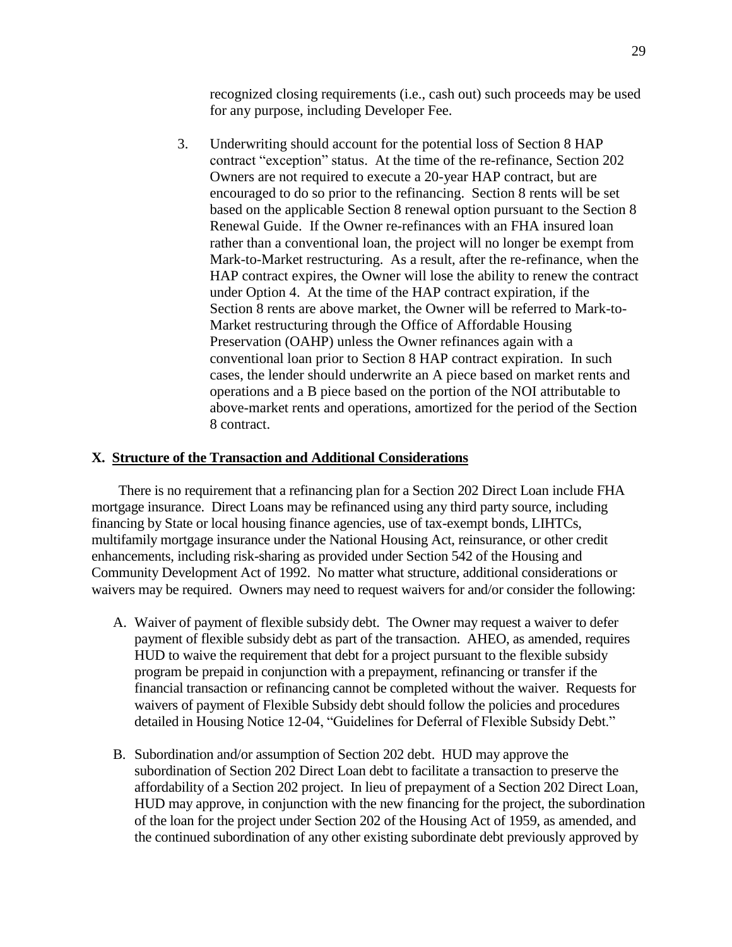recognized closing requirements (i.e., cash out) such proceeds may be used for any purpose, including Developer Fee.

3. Underwriting should account for the potential loss of Section 8 HAP contract "exception" status. At the time of the re-refinance, Section 202 Owners are not required to execute a 20-year HAP contract, but are encouraged to do so prior to the refinancing. Section 8 rents will be set based on the applicable Section 8 renewal option pursuant to the Section 8 Renewal Guide. If the Owner re-refinances with an FHA insured loan rather than a conventional loan, the project will no longer be exempt from Mark-to-Market restructuring. As a result, after the re-refinance, when the HAP contract expires, the Owner will lose the ability to renew the contract under Option 4. At the time of the HAP contract expiration, if the Section 8 rents are above market, the Owner will be referred to Mark-to-Market restructuring through the Office of Affordable Housing Preservation (OAHP) unless the Owner refinances again with a conventional loan prior to Section 8 HAP contract expiration. In such cases, the lender should underwrite an A piece based on market rents and operations and a B piece based on the portion of the NOI attributable to above-market rents and operations, amortized for the period of the Section 8 contract.

## **X. Structure of the Transaction and Additional Considerations**

There is no requirement that a refinancing plan for a Section 202 Direct Loan include FHA mortgage insurance. Direct Loans may be refinanced using any third party source, including financing by State or local housing finance agencies, use of tax-exempt bonds, LIHTCs, multifamily mortgage insurance under the National Housing Act, reinsurance, or other credit enhancements, including risk-sharing as provided under Section 542 of the Housing and Community Development Act of 1992. No matter what structure, additional considerations or waivers may be required. Owners may need to request waivers for and/or consider the following:

- A. Waiver of payment of flexible subsidy debt. The Owner may request a waiver to defer payment of flexible subsidy debt as part of the transaction. AHEO, as amended, requires HUD to waive the requirement that debt for a project pursuant to the flexible subsidy program be prepaid in conjunction with a prepayment, refinancing or transfer if the financial transaction or refinancing cannot be completed without the waiver. Requests for waivers of payment of Flexible Subsidy debt should follow the policies and procedures detailed in Housing Notice 12-04, "Guidelines for Deferral of Flexible Subsidy Debt."
- B. Subordination and/or assumption of Section 202 debt. HUD may approve the subordination of Section 202 Direct Loan debt to facilitate a transaction to preserve the affordability of a Section 202 project. In lieu of prepayment of a Section 202 Direct Loan, HUD may approve, in conjunction with the new financing for the project, the subordination of the loan for the project under Section 202 of the Housing Act of 1959, as amended, and the continued subordination of any other existing subordinate debt previously approved by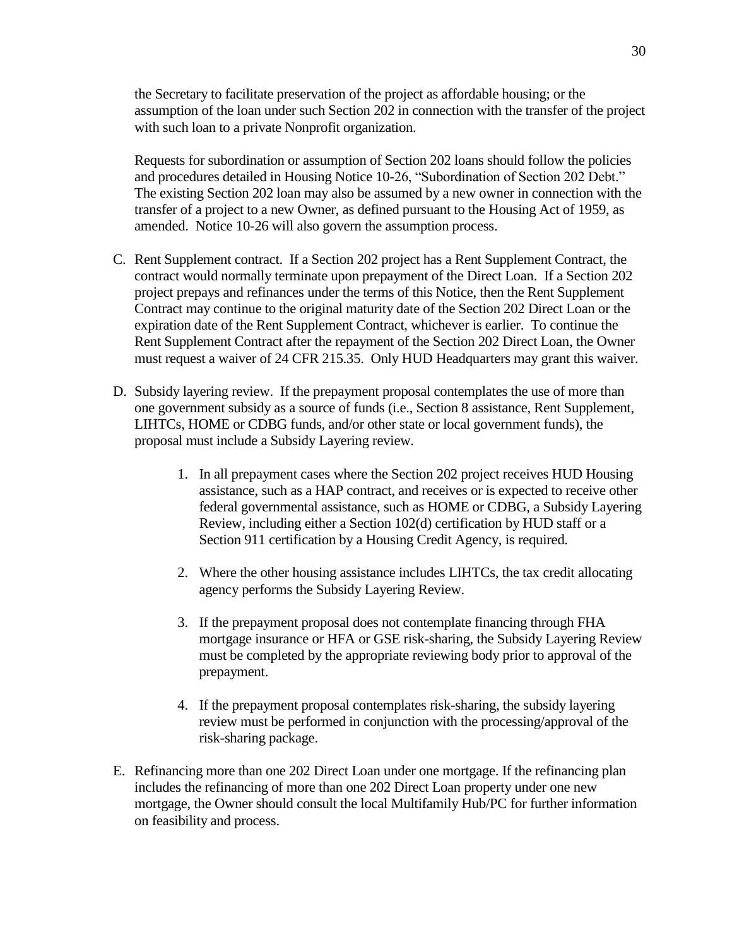the Secretary to facilitate preservation of the project as affordable housing; or the assumption of the loan under such Section 202 in connection with the transfer of the project with such loan to a private Nonprofit organization.

Requests for subordination or assumption of Section 202 loans should follow the policies and procedures detailed in Housing Notice 10-26, "Subordination of Section 202 Debt." The existing Section 202 loan may also be assumed by a new owner in connection with the transfer of a project to a new Owner, as defined pursuant to the Housing Act of 1959, as amended. Notice 10-26 will also govern the assumption process.

- C. Rent Supplement contract. If a Section 202 project has a Rent Supplement Contract, the contract would normally terminate upon prepayment of the Direct Loan. If a Section 202 project prepays and refinances under the terms of this Notice, then the Rent Supplement Contract may continue to the original maturity date of the Section 202 Direct Loan or the expiration date of the Rent Supplement Contract, whichever is earlier. To continue the Rent Supplement Contract after the repayment of the Section 202 Direct Loan, the Owner must request a waiver of 24 CFR 215.35. Only HUD Headquarters may grant this waiver.
- D. Subsidy layering review. If the prepayment proposal contemplates the use of more than one government subsidy as a source of funds (i.e., Section 8 assistance, Rent Supplement, LIHTCs, HOME or CDBG funds, and/or other state or local government funds), the proposal must include a Subsidy Layering review.
	- 1. In all prepayment cases where the Section 202 project receives HUD Housing assistance, such as a HAP contract, and receives or is expected to receive other federal governmental assistance, such as HOME or CDBG, a Subsidy Layering Review, including either a Section 102(d) certification by HUD staff or a Section 911 certification by a Housing Credit Agency, is required.
	- 2. Where the other housing assistance includes LIHTCs, the tax credit allocating agency performs the Subsidy Layering Review.
	- 3. If the prepayment proposal does not contemplate financing through FHA mortgage insurance or HFA or GSE risk-sharing, the Subsidy Layering Review must be completed by the appropriate reviewing body prior to approval of the prepayment.
	- 4. If the prepayment proposal contemplates risk-sharing, the subsidy layering review must be performed in conjunction with the processing/approval of the risk-sharing package.
- E. Refinancing more than one 202 Direct Loan under one mortgage. If the refinancing plan includes the refinancing of more than one 202 Direct Loan property under one new mortgage, the Owner should consult the local Multifamily Hub/PC for further information on feasibility and process.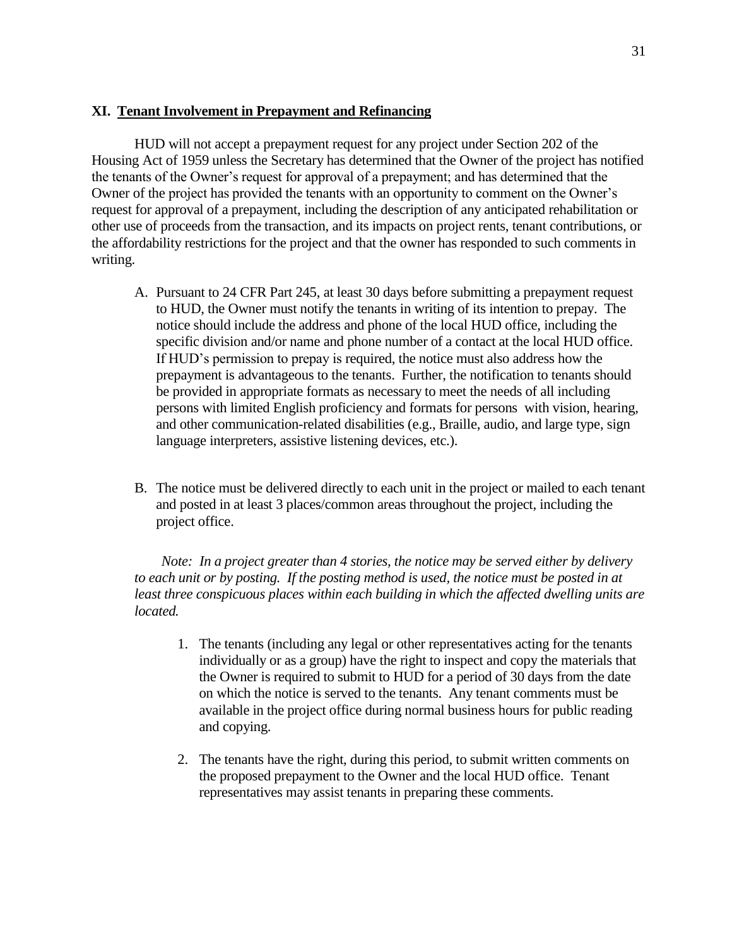#### **XI. Tenant Involvement in Prepayment and Refinancing**

HUD will not accept a prepayment request for any project under Section 202 of the Housing Act of 1959 unless the Secretary has determined that the Owner of the project has notified the tenants of the Owner's request for approval of a prepayment; and has determined that the Owner of the project has provided the tenants with an opportunity to comment on the Owner's request for approval of a prepayment, including the description of any anticipated rehabilitation or other use of proceeds from the transaction, and its impacts on project rents, tenant contributions, or the affordability restrictions for the project and that the owner has responded to such comments in writing.

- A. Pursuant to 24 CFR Part 245, at least 30 days before submitting a prepayment request to HUD, the Owner must notify the tenants in writing of its intention to prepay. The notice should include the address and phone of the local HUD office, including the specific division and/or name and phone number of a contact at the local HUD office. If HUD's permission to prepay is required, the notice must also address how the prepayment is advantageous to the tenants. Further, the notification to tenants should be provided in appropriate formats as necessary to meet the needs of all including persons with limited English proficiency and formats for persons with vision, hearing, and other communication-related disabilities (e.g., Braille, audio, and large type, sign language interpreters, assistive listening devices, etc.).
- B. The notice must be delivered directly to each unit in the project or mailed to each tenant and posted in at least 3 places/common areas throughout the project, including the project office.

*Note: In a project greater than 4 stories, the notice may be served either by delivery to each unit or by posting. If the posting method is used, the notice must be posted in at* least three conspicuous places within each building in which the affected dwelling units are *located.*

- 1. The tenants (including any legal or other representatives acting for the tenants individually or as a group) have the right to inspect and copy the materials that the Owner is required to submit to HUD for a period of 30 days from the date on which the notice is served to the tenants. Any tenant comments must be available in the project office during normal business hours for public reading and copying.
- 2. The tenants have the right, during this period, to submit written comments on the proposed prepayment to the Owner and the local HUD office. Tenant representatives may assist tenants in preparing these comments.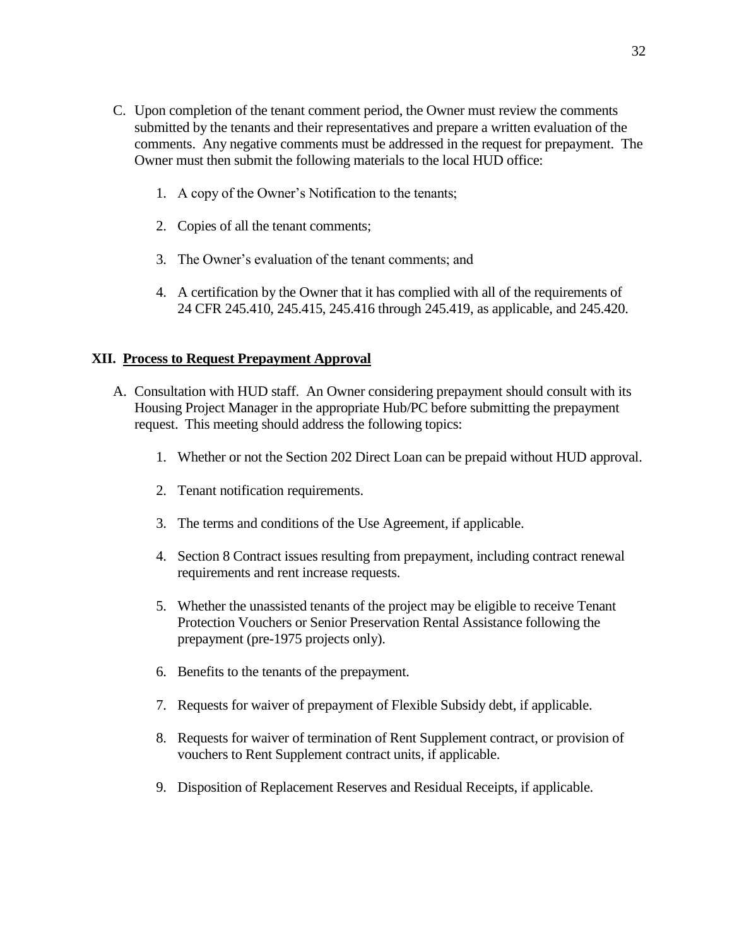- C. Upon completion of the tenant comment period, the Owner must review the comments submitted by the tenants and their representatives and prepare a written evaluation of the comments. Any negative comments must be addressed in the request for prepayment. The Owner must then submit the following materials to the local HUD office:
	- 1. A copy of the Owner's Notification to the tenants;
	- 2. Copies of all the tenant comments;
	- 3. The Owner's evaluation of the tenant comments; and
	- 4. A certification by the Owner that it has complied with all of the requirements of 24 CFR 245.410, 245.415, 245.416 through 245.419, as applicable, and 245.420.

## **XII. Process to Request Prepayment Approval**

- A. Consultation with HUD staff. An Owner considering prepayment should consult with its Housing Project Manager in the appropriate Hub/PC before submitting the prepayment request. This meeting should address the following topics:
	- 1. Whether or not the Section 202 Direct Loan can be prepaid without HUD approval.
	- 2. Tenant notification requirements.
	- 3. The terms and conditions of the Use Agreement, if applicable.
	- 4. Section 8 Contract issues resulting from prepayment, including contract renewal requirements and rent increase requests.
	- 5. Whether the unassisted tenants of the project may be eligible to receive Tenant Protection Vouchers or Senior Preservation Rental Assistance following the prepayment (pre-1975 projects only).
	- 6. Benefits to the tenants of the prepayment.
	- 7. Requests for waiver of prepayment of Flexible Subsidy debt, if applicable.
	- 8. Requests for waiver of termination of Rent Supplement contract, or provision of vouchers to Rent Supplement contract units, if applicable.
	- 9. Disposition of Replacement Reserves and Residual Receipts, if applicable.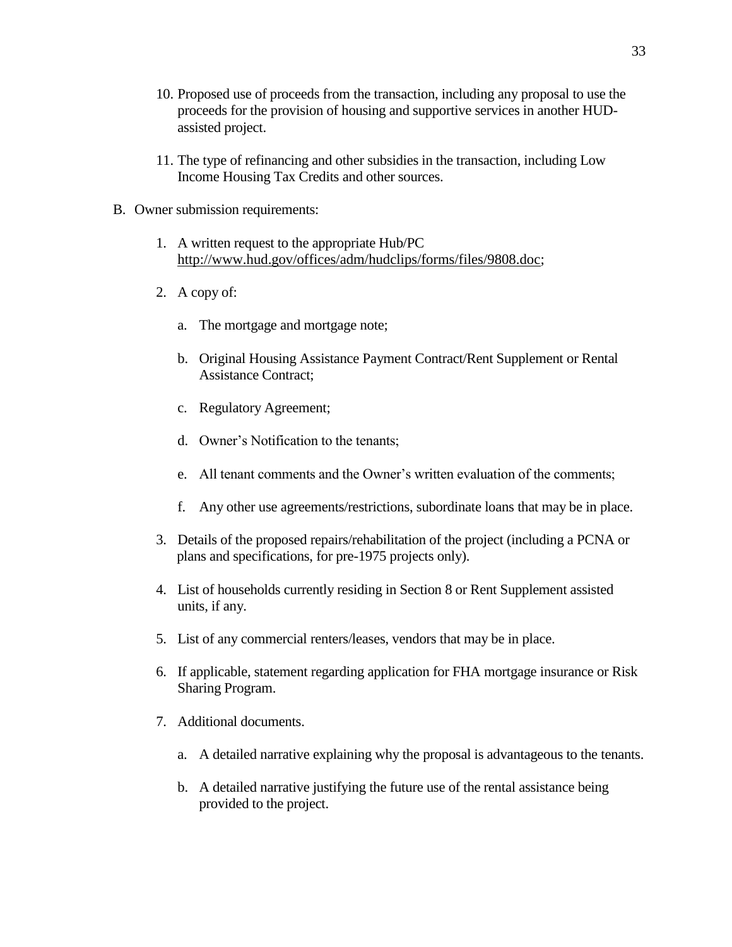- 10. Proposed use of proceeds from the transaction, including any proposal to use the proceeds for the provision of housing and supportive services in another HUDassisted project.
- 11. The type of refinancing and other subsidies in the transaction, including Low Income Housing Tax Credits and other sources.
- B. Owner submission requirements:
	- 1. A written request to the appropriate Hub/PC [http://www.hud.gov/offices/adm/hudclips/forms/files/9808.doc;](http://www.hud.gov/offices/adm/hudclips/forms/files/9808.doc)
	- 2. A copy of:
		- a. The mortgage and mortgage note;
		- b. Original Housing Assistance Payment Contract/Rent Supplement or Rental Assistance Contract;
		- c. Regulatory Agreement;
		- d. Owner's Notification to the tenants;
		- e. All tenant comments and the Owner's written evaluation of the comments;
		- f. Any other use agreements/restrictions, subordinate loans that may be in place.
	- 3. Details of the proposed repairs/rehabilitation of the project (including a PCNA or plans and specifications, for pre-1975 projects only).
	- 4. List of households currently residing in Section 8 or Rent Supplement assisted units, if any.
	- 5. List of any commercial renters/leases, vendors that may be in place.
	- 6. If applicable, statement regarding application for FHA mortgage insurance or Risk Sharing Program.
	- 7. Additional documents.
		- a. A detailed narrative explaining why the proposal is advantageous to the tenants.
		- b. A detailed narrative justifying the future use of the rental assistance being provided to the project.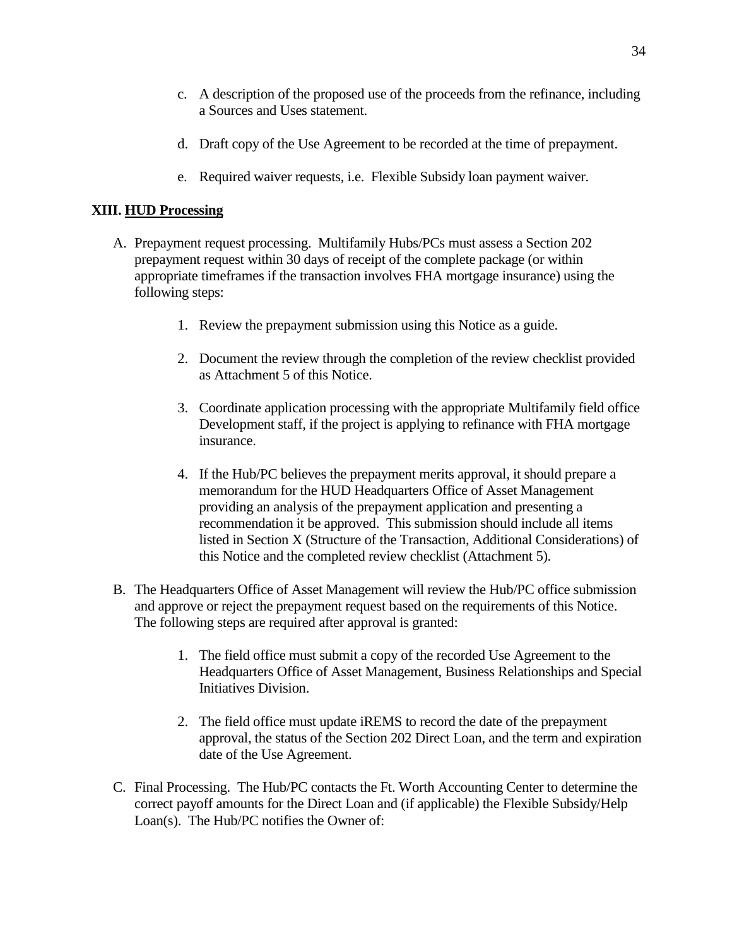- c. A description of the proposed use of the proceeds from the refinance, including a Sources and Uses statement.
- d. Draft copy of the Use Agreement to be recorded at the time of prepayment.
- e. Required waiver requests, i.e. Flexible Subsidy loan payment waiver.

## **XIII. HUD Processing**

- A. Prepayment request processing. Multifamily Hubs/PCs must assess a Section 202 prepayment request within 30 days of receipt of the complete package (or within appropriate timeframes if the transaction involves FHA mortgage insurance) using the following steps:
	- 1. Review the prepayment submission using this Notice as a guide.
	- 2. Document the review through the completion of the review checklist provided as Attachment 5 of this Notice.
	- 3. Coordinate application processing with the appropriate Multifamily field office Development staff, if the project is applying to refinance with FHA mortgage insurance.
	- 4. If the Hub/PC believes the prepayment merits approval, it should prepare a memorandum for the HUD Headquarters Office of Asset Management providing an analysis of the prepayment application and presenting a recommendation it be approved. This submission should include all items listed in Section X (Structure of the Transaction, Additional Considerations) of this Notice and the completed review checklist (Attachment 5).
- B. The Headquarters Office of Asset Management will review the Hub/PC office submission and approve or reject the prepayment request based on the requirements of this Notice. The following steps are required after approval is granted:
	- 1. The field office must submit a copy of the recorded Use Agreement to the Headquarters Office of Asset Management, Business Relationships and Special Initiatives Division.
	- 2. The field office must update iREMS to record the date of the prepayment approval, the status of the Section 202 Direct Loan, and the term and expiration date of the Use Agreement.
- C. Final Processing. The Hub/PC contacts the Ft. Worth Accounting Center to determine the correct payoff amounts for the Direct Loan and (if applicable) the Flexible Subsidy/Help Loan(s). The Hub/PC notifies the Owner of: